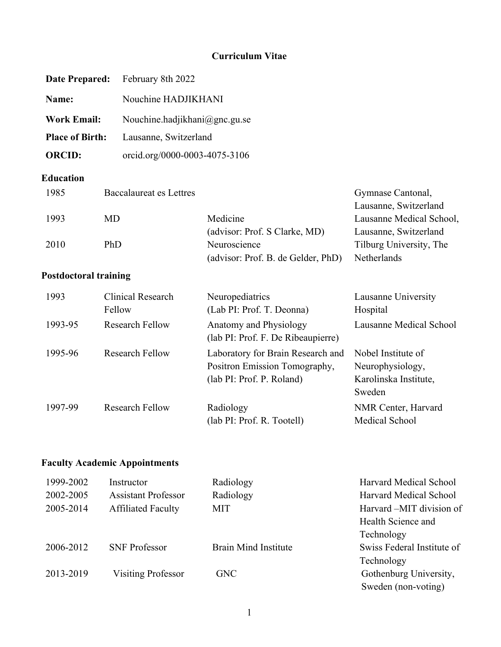## **Curriculum Vitae**

| <b>Date Prepared:</b>        | February 8th 2022              |                                                                                                 |                                                                           |
|------------------------------|--------------------------------|-------------------------------------------------------------------------------------------------|---------------------------------------------------------------------------|
| Name:                        | Nouchine HADJIKHANI            |                                                                                                 |                                                                           |
| <b>Work Email:</b>           |                                | Nouchine.hadjikhani@gnc.gu.se                                                                   |                                                                           |
| <b>Place of Birth:</b>       | Lausanne, Switzerland          |                                                                                                 |                                                                           |
| <b>ORCID:</b>                | orcid.org/0000-0003-4075-3106  |                                                                                                 |                                                                           |
| <b>Education</b>             |                                |                                                                                                 |                                                                           |
| 1985                         | <b>Baccalaureat es Lettres</b> |                                                                                                 | Gymnase Cantonal,<br>Lausanne, Switzerland                                |
| <b>MD</b><br>1993            |                                | Medicine                                                                                        | Lausanne Medical School,                                                  |
| PhD<br>2010                  |                                | (advisor: Prof. S Clarke, MD)<br>Neuroscience<br>(advisor: Prof. B. de Gelder, PhD)             | Lausanne, Switzerland<br>Tilburg University, The<br>Netherlands           |
| <b>Postdoctoral training</b> |                                |                                                                                                 |                                                                           |
| 1993<br>Fellow               | <b>Clinical Research</b>       | Neuropediatrics<br>(Lab PI: Prof. T. Deonna)                                                    | Lausanne University<br>Hospital                                           |
| 1993-95                      | <b>Research Fellow</b>         | Anatomy and Physiology<br>(lab PI: Prof. F. De Ribeaupierre)                                    | Lausanne Medical School                                                   |
| 1995-96                      | <b>Research Fellow</b>         | Laboratory for Brain Research and<br>Positron Emission Tomography,<br>(lab PI: Prof. P. Roland) | Nobel Institute of<br>Neurophysiology,<br>Karolinska Institute,<br>Sweden |
| 1997-99                      | <b>Research Fellow</b>         | Radiology<br>(lab PI: Prof. R. Tootell)                                                         | NMR Center, Harvard<br>Medical School                                     |

# **Faculty Academic Appointments**

| 1999-2002 | Instructor                 | Radiology                   | Harvard Medical School     |
|-----------|----------------------------|-----------------------------|----------------------------|
| 2002-2005 | <b>Assistant Professor</b> | Radiology                   | Harvard Medical School     |
| 2005-2014 | <b>Affiliated Faculty</b>  | <b>MIT</b>                  | Harvard – MIT division of  |
|           |                            |                             | Health Science and         |
|           |                            |                             | Technology                 |
| 2006-2012 | <b>SNF Professor</b>       | <b>Brain Mind Institute</b> | Swiss Federal Institute of |
|           |                            |                             | Technology                 |
| 2013-2019 | <b>Visiting Professor</b>  | <b>GNC</b>                  | Gothenburg University,     |
|           |                            |                             | Sweden (non-voting)        |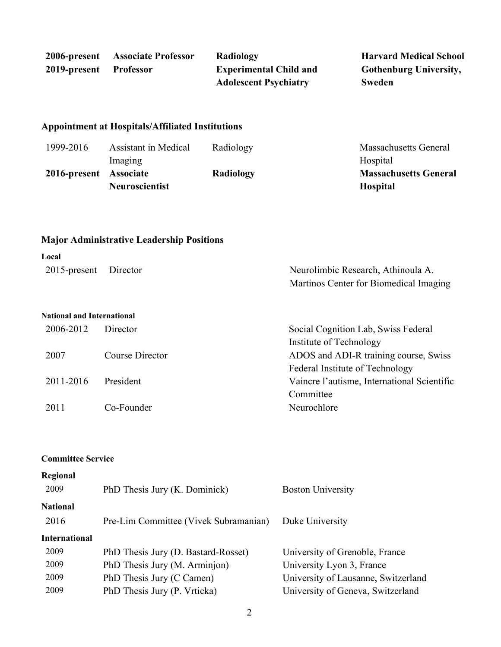|                        | 2006-present Associate Professor | Radiology                     | <b>Harvard Medical School</b> |
|------------------------|----------------------------------|-------------------------------|-------------------------------|
| 2019-present Professor |                                  | <b>Experimental Child and</b> | <b>Gothenburg University,</b> |
|                        |                                  | <b>Adolescent Psychiatry</b>  | <b>Sweden</b>                 |

### **Appointment at Hospitals/Affiliated Institutions**

| 1999-2016              | Assistant in Medical  | Radiology | Massachusetts General        |
|------------------------|-----------------------|-----------|------------------------------|
|                        | Imaging               |           | Hospital                     |
| 2016-present Associate |                       | Radiology | <b>Massachusetts General</b> |
|                        | <b>Neuroscientist</b> |           | <b>Hospital</b>              |

# **Major Administrative Leadership Positions**

| Local                             |                 |                                             |
|-----------------------------------|-----------------|---------------------------------------------|
| $2015$ -present                   | Director        | Neurolimbic Research, Athinoula A.          |
|                                   |                 | Martinos Center for Biomedical Imaging      |
|                                   |                 |                                             |
| <b>National and International</b> |                 |                                             |
| 2006-2012                         | Director        | Social Cognition Lab, Swiss Federal         |
|                                   |                 | Institute of Technology                     |
| 2007                              | Course Director | ADOS and ADI-R training course, Swiss       |
|                                   |                 | Federal Institute of Technology             |
| 2011-2016                         | President       | Vaincre l'autisme, International Scientific |
|                                   |                 | Committee                                   |
| 2011                              | Co-Founder      | Neurochlore                                 |

#### **Committee Service**

| Regional<br>2009                                     | PhD Thesis Jury (K. Dominick)                                                                                                     | <b>Boston University</b>                                                                                                                |
|------------------------------------------------------|-----------------------------------------------------------------------------------------------------------------------------------|-----------------------------------------------------------------------------------------------------------------------------------------|
| <b>National</b><br>2016                              | Pre-Lim Committee (Vivek Subramanian)                                                                                             | Duke University                                                                                                                         |
| <b>International</b><br>2009<br>2009<br>2009<br>2009 | PhD Thesis Jury (D. Bastard-Rosset)<br>PhD Thesis Jury (M. Arminjon)<br>PhD Thesis Jury (C Camen)<br>PhD Thesis Jury (P. Vrticka) | University of Grenoble, France<br>University Lyon 3, France<br>University of Lausanne, Switzerland<br>University of Geneva, Switzerland |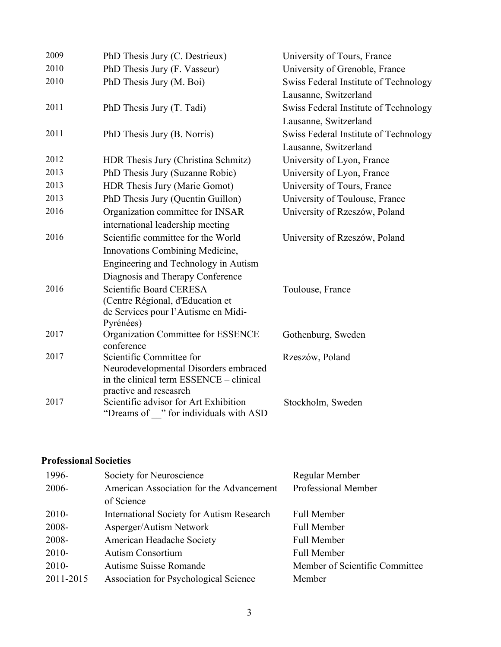| 2009 | PhD Thesis Jury (C. Destrieux)                   | University of Tours, France           |
|------|--------------------------------------------------|---------------------------------------|
| 2010 | PhD Thesis Jury (F. Vasseur)                     | University of Grenoble, France        |
| 2010 | PhD Thesis Jury (M. Boi)                         | Swiss Federal Institute of Technology |
|      |                                                  | Lausanne, Switzerland                 |
| 2011 | PhD Thesis Jury (T. Tadi)                        | Swiss Federal Institute of Technology |
|      |                                                  | Lausanne, Switzerland                 |
| 2011 | PhD Thesis Jury (B. Norris)                      | Swiss Federal Institute of Technology |
|      |                                                  | Lausanne, Switzerland                 |
| 2012 | HDR Thesis Jury (Christina Schmitz)              | University of Lyon, France            |
| 2013 | PhD Thesis Jury (Suzanne Robic)                  | University of Lyon, France            |
| 2013 | HDR Thesis Jury (Marie Gomot)                    | University of Tours, France           |
| 2013 | PhD Thesis Jury (Quentin Guillon)                | University of Toulouse, France        |
| 2016 | Organization committee for INSAR                 | University of Rzeszów, Poland         |
|      | international leadership meeting                 |                                       |
| 2016 | Scientific committee for the World               | University of Rzeszów, Poland         |
|      | Innovations Combining Medicine,                  |                                       |
|      | Engineering and Technology in Autism             |                                       |
|      | Diagnosis and Therapy Conference                 |                                       |
| 2016 | Scientific Board CERESA                          | Toulouse, France                      |
|      | (Centre Régional, d'Education et                 |                                       |
|      | de Services pour l'Autisme en Midi-              |                                       |
| 2017 | Pyrénées)                                        |                                       |
|      | Organization Committee for ESSENCE<br>conference | Gothenburg, Sweden                    |
| 2017 | Scientific Committee for                         | Rzeszów, Poland                       |
|      | Neurodevelopmental Disorders embraced            |                                       |
|      | in the clinical term ESSENCE - clinical          |                                       |
|      | practive and reseasrch                           |                                       |
| 2017 | Scientific advisor for Art Exhibition            | Stockholm, Sweden                     |
|      | "Dreams of " for individuals with ASD            |                                       |

# **Professional Societies**

| 1996-     | Society for Neuroscience                         | Regular Member                 |
|-----------|--------------------------------------------------|--------------------------------|
| 2006-     | American Association for the Advancement         | <b>Professional Member</b>     |
|           | of Science                                       |                                |
| $2010-$   | <b>International Society for Autism Research</b> | Full Member                    |
| 2008-     | Asperger/Autism Network                          | Full Member                    |
| 2008-     | American Headache Society                        | Full Member                    |
| $2010-$   | <b>Autism Consortium</b>                         | <b>Full Member</b>             |
| $2010-$   | Autisme Suisse Romande                           | Member of Scientific Committee |
| 2011-2015 | Association for Psychological Science            | Member                         |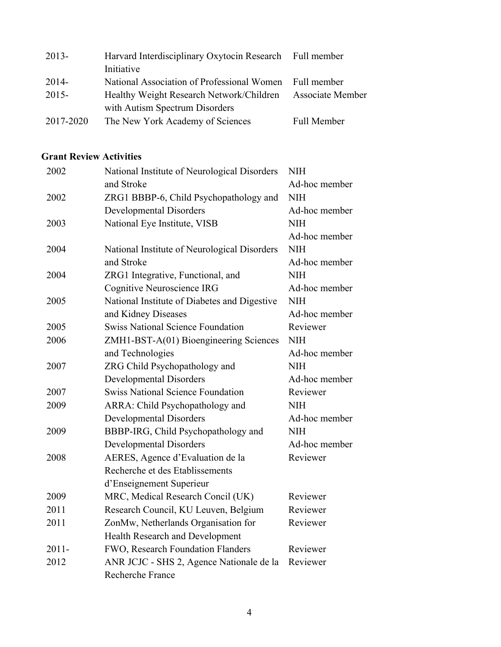| $2013-$   | Harvard Interdisciplinary Oxytocin Research Full member |                         |
|-----------|---------------------------------------------------------|-------------------------|
|           | Initiative                                              |                         |
| $2014-$   | National Association of Professional Women Full member  |                         |
| $2015 -$  | Healthy Weight Research Network/Children                | <b>Associate Member</b> |
|           | with Autism Spectrum Disorders                          |                         |
| 2017-2020 | The New York Academy of Sciences                        | Full Member             |

## **Grant Review Activities**

| 2002     | National Institute of Neurological Disorders | <b>NIH</b>    |
|----------|----------------------------------------------|---------------|
|          | and Stroke                                   | Ad-hoc member |
| 2002     | ZRG1 BBBP-6, Child Psychopathology and       | <b>NIH</b>    |
|          | <b>Developmental Disorders</b>               | Ad-hoc member |
| 2003     | National Eye Institute, VISB                 | <b>NIH</b>    |
|          |                                              | Ad-hoc member |
| 2004     | National Institute of Neurological Disorders | <b>NIH</b>    |
|          | and Stroke                                   | Ad-hoc member |
| 2004     | ZRG1 Integrative, Functional, and            | <b>NIH</b>    |
|          | Cognitive Neuroscience IRG                   | Ad-hoc member |
| 2005     | National Institute of Diabetes and Digestive | <b>NIH</b>    |
|          | and Kidney Diseases                          | Ad-hoc member |
| 2005     | <b>Swiss National Science Foundation</b>     | Reviewer      |
| 2006     | ZMH1-BST-A(01) Bioengineering Sciences       | <b>NIH</b>    |
|          | and Technologies                             | Ad-hoc member |
| 2007     | ZRG Child Psychopathology and                | <b>NIH</b>    |
|          | <b>Developmental Disorders</b>               | Ad-hoc member |
| 2007     | <b>Swiss National Science Foundation</b>     | Reviewer      |
| 2009     | ARRA: Child Psychopathology and              | NIH           |
|          | <b>Developmental Disorders</b>               | Ad-hoc member |
| 2009     | BBBP-IRG, Child Psychopathology and          | <b>NIH</b>    |
|          | <b>Developmental Disorders</b>               | Ad-hoc member |
| 2008     | AERES, Agence d'Evaluation de la             | Reviewer      |
|          | Recherche et des Etablissements              |               |
|          | d'Enseignement Superieur                     |               |
| 2009     | MRC, Medical Research Concil (UK)            | Reviewer      |
| 2011     | Research Council, KU Leuven, Belgium         | Reviewer      |
| 2011     | ZonMw, Netherlands Organisation for          | Reviewer      |
|          | Health Research and Development              |               |
| $2011 -$ | FWO, Research Foundation Flanders            | Reviewer      |
| 2012     | ANR JCJC - SHS 2, Agence Nationale de la     | Reviewer      |
|          | Recherche France                             |               |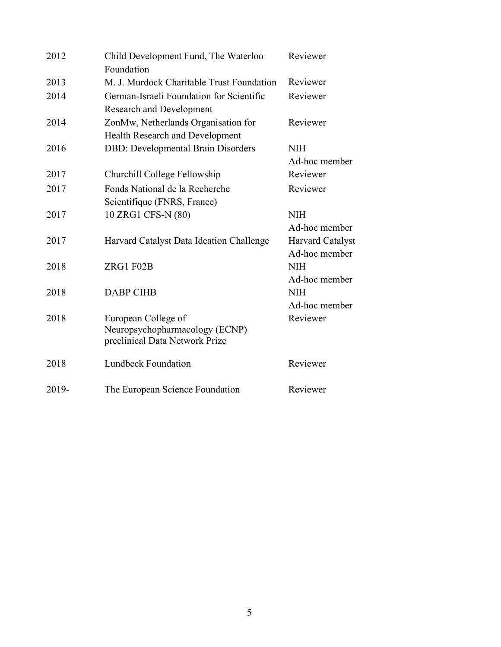| 2012  | Child Development Fund, The Waterloo      | Reviewer                |
|-------|-------------------------------------------|-------------------------|
|       | Foundation                                |                         |
| 2013  | M. J. Murdock Charitable Trust Foundation | Reviewer                |
| 2014  | German-Israeli Foundation for Scientific  | Reviewer                |
|       | <b>Research and Development</b>           |                         |
| 2014  | ZonMw, Netherlands Organisation for       | Reviewer                |
|       | Health Research and Development           |                         |
| 2016  | <b>DBD:</b> Developmental Brain Disorders | <b>NIH</b>              |
|       |                                           | Ad-hoc member           |
| 2017  | Churchill College Fellowship              | Reviewer                |
| 2017  | Fonds National de la Recherche            | Reviewer                |
|       | Scientifique (FNRS, France)               |                         |
| 2017  | 10 ZRG1 CFS-N (80)                        | <b>NIH</b>              |
|       |                                           | Ad-hoc member           |
| 2017  | Harvard Catalyst Data Ideation Challenge  | <b>Harvard Catalyst</b> |
|       |                                           | Ad-hoc member           |
| 2018  | ZRG1 F02B                                 | <b>NIH</b>              |
|       |                                           | Ad-hoc member           |
| 2018  | <b>DABP CIHB</b>                          | <b>NIH</b>              |
|       |                                           | Ad-hoc member           |
| 2018  | European College of                       | Reviewer                |
|       | Neuropsychopharmacology (ECNP)            |                         |
|       | preclinical Data Network Prize            |                         |
| 2018  | <b>Lundbeck Foundation</b>                | Reviewer                |
|       |                                           |                         |
| 2019- | The European Science Foundation           | Reviewer                |
|       |                                           |                         |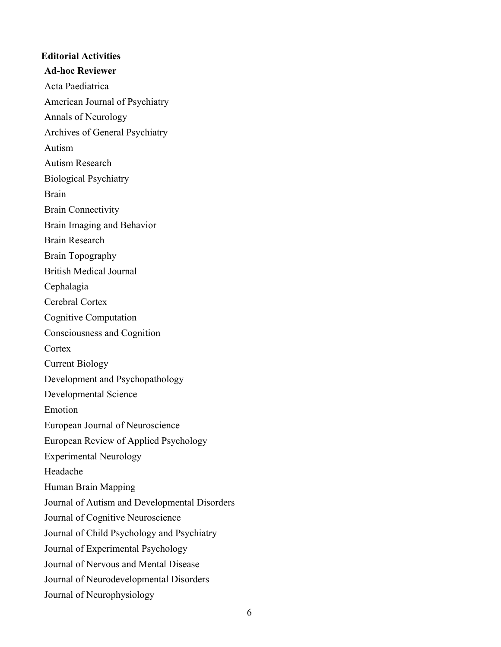# **Editorial Activities Ad-hoc Reviewer** Acta Paediatrica American Journal of Psychiatry Annals of Neurology Archives of General Psychiatry Autism Autism Research Biological Psychiatry Brain Brain Connectivity Brain Imaging and Behavior Brain Research Brain Topography British Medical Journal Cephalagia Cerebral Cortex Cognitive Computation Consciousness and Cognition **Cortex** Current Biology Development and Psychopathology Developmental Science Emotion European Journal of Neuroscience European Review of Applied Psychology Experimental Neurology Headache Human Brain Mapping Journal of Autism and Developmental Disorders Journal of Cognitive Neuroscience Journal of Child Psychology and Psychiatry Journal of Experimental Psychology Journal of Nervous and Mental Disease Journal of Neurodevelopmental Disorders Journal of Neurophysiology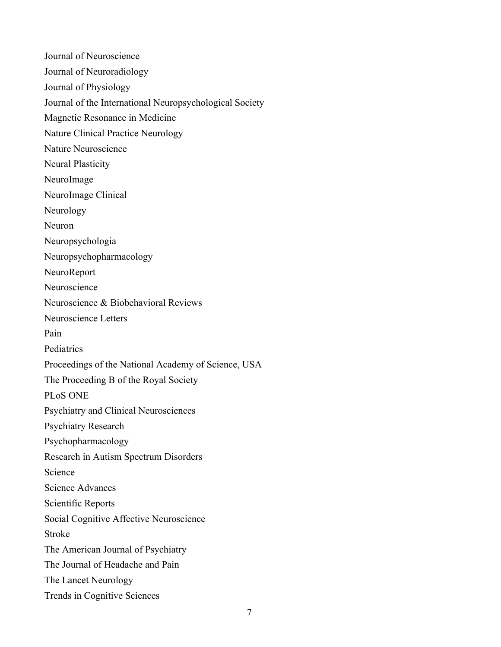Journal of Neuroscience Journal of Neuroradiology Journal of Physiology Journal of the International Neuropsychological Society Magnetic Resonance in Medicine Nature Clinical Practice Neurology Nature Neuroscience Neural Plasticity NeuroImage NeuroImage Clinical Neurology Neuron Neuropsychologia Neuropsychopharmacology NeuroReport Neuroscience Neuroscience & Biobehavioral Reviews Neuroscience Letters Pain Pediatrics Proceedings of the National Academy of Science, USA The Proceeding B of the Royal Society PLoS ONE Psychiatry and Clinical Neurosciences Psychiatry Research Psychopharmacology Research in Autism Spectrum Disorders Science Science Advances Scientific Reports Social Cognitive Affective Neuroscience Stroke The American Journal of Psychiatry The Journal of Headache and Pain The Lancet Neurology Trends in Cognitive Sciences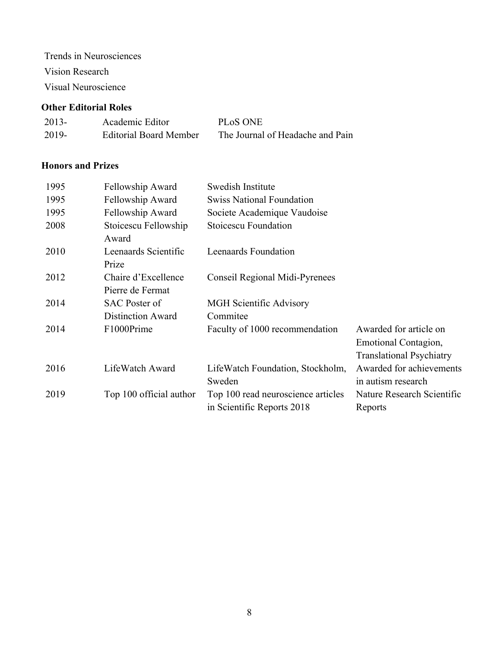Trends in Neurosciences

Vision Research

Visual Neuroscience

### **Other Editorial Roles**

| $2013-$ | Academic Editor               | PL <sub>o</sub> S ONE            |
|---------|-------------------------------|----------------------------------|
| 2019-   | <b>Editorial Board Member</b> | The Journal of Headache and Pain |

## **Honors and Prizes**

| 1995 | Fellowship Award                        | Swedish Institute                                                |                                                                                   |
|------|-----------------------------------------|------------------------------------------------------------------|-----------------------------------------------------------------------------------|
| 1995 | Fellowship Award                        | <b>Swiss National Foundation</b>                                 |                                                                                   |
| 1995 | Fellowship Award                        | Societe Academique Vaudoise                                      |                                                                                   |
| 2008 | Stoicescu Fellowship<br>Award           | <b>Stoicescu Foundation</b>                                      |                                                                                   |
| 2010 | Leenaards Scientific<br>Prize           | Leenaards Foundation                                             |                                                                                   |
| 2012 | Chaire d'Excellence<br>Pierre de Fermat | Conseil Regional Midi-Pyrenees                                   |                                                                                   |
| 2014 | <b>SAC Poster of</b>                    | MGH Scientific Advisory                                          |                                                                                   |
|      | <b>Distinction Award</b>                | Commitee                                                         |                                                                                   |
| 2014 | F1000Prime                              | Faculty of 1000 recommendation                                   | Awarded for article on<br>Emotional Contagion,<br><b>Translational Psychiatry</b> |
| 2016 | LifeWatch Award                         | LifeWatch Foundation, Stockholm,<br>Sweden                       | Awarded for achievements<br>in autism research                                    |
| 2019 | Top 100 official author                 | Top 100 read neuroscience articles<br>in Scientific Reports 2018 | Nature Research Scientific<br>Reports                                             |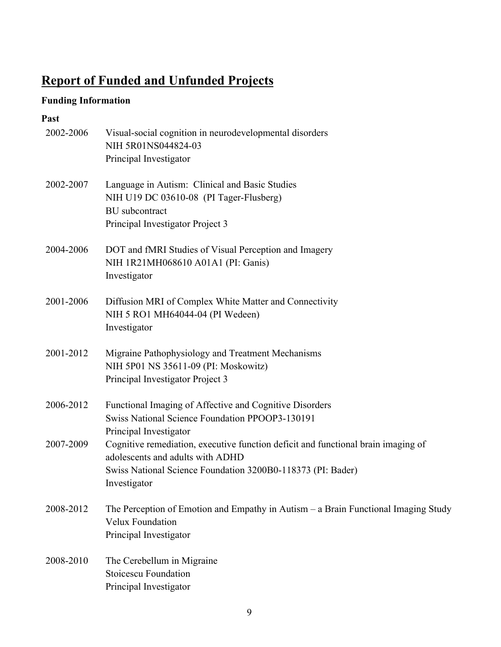# **Report of Funded and Unfunded Projects**

# **Funding Information**

## **Past**

| 2002-2006 | Visual-social cognition in neurodevelopmental disorders<br>NIH 5R01NS044824-03                                        |
|-----------|-----------------------------------------------------------------------------------------------------------------------|
|           | Principal Investigator                                                                                                |
| 2002-2007 | Language in Autism: Clinical and Basic Studies<br>NIH U19 DC 03610-08 (PI Tager-Flusberg)                             |
|           | <b>BU</b> subcontract                                                                                                 |
|           | Principal Investigator Project 3                                                                                      |
| 2004-2006 | DOT and fMRI Studies of Visual Perception and Imagery                                                                 |
|           | NIH 1R21MH068610 A01A1 (PI: Ganis)                                                                                    |
|           | Investigator                                                                                                          |
| 2001-2006 | Diffusion MRI of Complex White Matter and Connectivity                                                                |
|           | NIH 5 RO1 MH64044-04 (PI Wedeen)                                                                                      |
|           | Investigator                                                                                                          |
| 2001-2012 | Migraine Pathophysiology and Treatment Mechanisms                                                                     |
|           | NIH 5P01 NS 35611-09 (PI: Moskowitz)                                                                                  |
|           | Principal Investigator Project 3                                                                                      |
| 2006-2012 | Functional Imaging of Affective and Cognitive Disorders                                                               |
|           | Swiss National Science Foundation PPOOP3-130191                                                                       |
|           | Principal Investigator                                                                                                |
| 2007-2009 | Cognitive remediation, executive function deficit and functional brain imaging of<br>adolescents and adults with ADHD |
|           | Swiss National Science Foundation 3200B0-118373 (PI: Bader)                                                           |
|           | Investigator                                                                                                          |
| 2008-2012 | The Perception of Emotion and Empathy in Autism – a Brain Functional Imaging Study                                    |
|           | Velux Foundation                                                                                                      |
|           | Principal Investigator                                                                                                |
| 2008-2010 | The Cerebellum in Migraine                                                                                            |
|           | <b>Stoicescu Foundation</b>                                                                                           |
|           | Principal Investigator                                                                                                |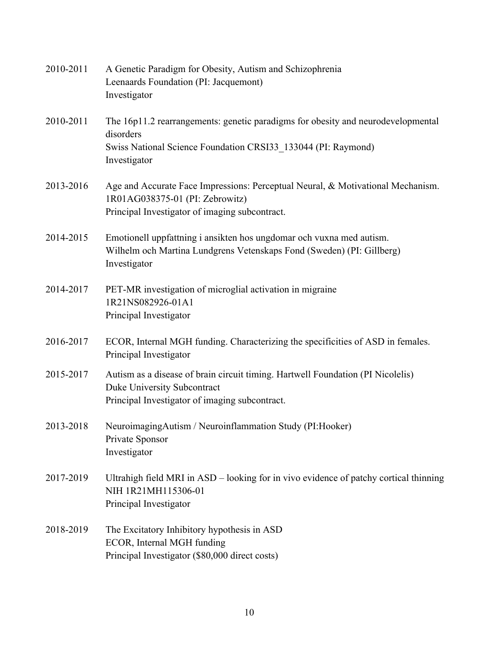| 2010-2011 | A Genetic Paradigm for Obesity, Autism and Schizophrenia<br>Leenaards Foundation (PI: Jacquemont)<br>Investigator                                                              |
|-----------|--------------------------------------------------------------------------------------------------------------------------------------------------------------------------------|
| 2010-2011 | The 16p11.2 rearrangements: genetic paradigms for obesity and neurodevelopmental<br>disorders<br>Swiss National Science Foundation CRSI33 133044 (PI: Raymond)<br>Investigator |
| 2013-2016 | Age and Accurate Face Impressions: Perceptual Neural, & Motivational Mechanism.<br>1R01AG038375-01 (PI: Zebrowitz)<br>Principal Investigator of imaging subcontract.           |
| 2014-2015 | Emotionell uppfattning i ansikten hos ungdomar och vuxna med autism.<br>Wilhelm och Martina Lundgrens Vetenskaps Fond (Sweden) (PI: Gillberg)<br>Investigator                  |
| 2014-2017 | PET-MR investigation of microglial activation in migraine<br>1R21NS082926-01A1<br>Principal Investigator                                                                       |
| 2016-2017 | ECOR, Internal MGH funding. Characterizing the specificities of ASD in females.<br>Principal Investigator                                                                      |
| 2015-2017 | Autism as a disease of brain circuit timing. Hartwell Foundation (PI Nicolelis)<br>Duke University Subcontract<br>Principal Investigator of imaging subcontract.               |
| 2013-2018 | NeuroimagingAutism / Neuroinflammation Study (PI:Hooker)<br>Private Sponsor<br>Investigator                                                                                    |
| 2017-2019 | Ultrahigh field MRI in ASD – looking for in vivo evidence of patchy cortical thinning<br>NIH 1R21MH115306-01<br>Principal Investigator                                         |
| 2018-2019 | The Excitatory Inhibitory hypothesis in ASD<br>ECOR, Internal MGH funding<br>Principal Investigator (\$80,000 direct costs)                                                    |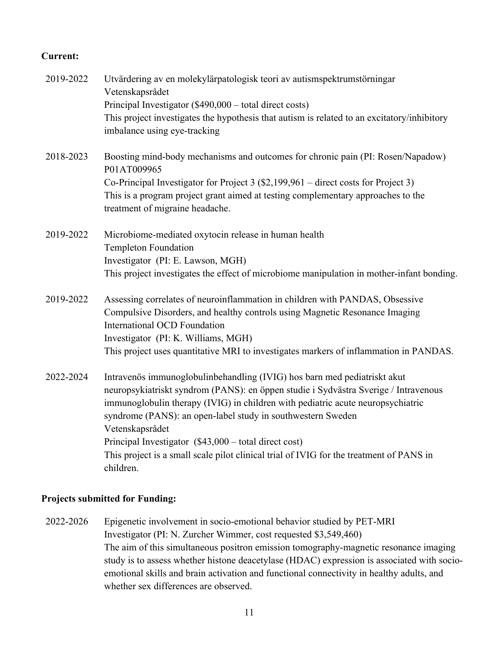### **Current:**

| 2019-2022 | Utvärdering av en molekylärpatologisk teori av autismspektrumstörningar<br>Vetenskapsrådet                                                                                                                                                                                                                                           |
|-----------|--------------------------------------------------------------------------------------------------------------------------------------------------------------------------------------------------------------------------------------------------------------------------------------------------------------------------------------|
|           | Principal Investigator (\$490,000 – total direct costs)                                                                                                                                                                                                                                                                              |
|           | This project investigates the hypothesis that autism is related to an excitatory/inhibitory                                                                                                                                                                                                                                          |
|           | imbalance using eye-tracking                                                                                                                                                                                                                                                                                                         |
| 2018-2023 | Boosting mind-body mechanisms and outcomes for chronic pain (PI: Rosen/Napadow)<br>P01AT009965                                                                                                                                                                                                                                       |
|           | Co-Principal Investigator for Project 3 $(\$2,199,961$ – direct costs for Project 3)                                                                                                                                                                                                                                                 |
|           | This is a program project grant aimed at testing complementary approaches to the<br>treatment of migraine headache.                                                                                                                                                                                                                  |
| 2019-2022 | Microbiome-mediated oxytocin release in human health<br><b>Templeton Foundation</b>                                                                                                                                                                                                                                                  |
|           | Investigator (PI: E. Lawson, MGH)                                                                                                                                                                                                                                                                                                    |
|           | This project investigates the effect of microbiome manipulation in mother-infant bonding.                                                                                                                                                                                                                                            |
| 2019-2022 | Assessing correlates of neuroinflammation in children with PANDAS, Obsessive                                                                                                                                                                                                                                                         |
|           | Compulsive Disorders, and healthy controls using Magnetic Resonance Imaging<br><b>International OCD Foundation</b>                                                                                                                                                                                                                   |
|           | Investigator (PI: K. Williams, MGH)                                                                                                                                                                                                                                                                                                  |
|           | This project uses quantitative MRI to investigates markers of inflammation in PANDAS.                                                                                                                                                                                                                                                |
| 2022-2024 | Intravenös immunoglobulinbehandling (IVIG) hos barn med pediatriskt akut<br>neuropsykiatriskt syndrom (PANS): en öppen studie i Sydvästra Sverige / Intravenous<br>immunoglobulin therapy (IVIG) in children with pediatric acute neuropsychiatric<br>syndrome (PANS): an open-label study in southwestern Sweden<br>Vetenskapsrådet |
|           | Principal Investigator $(\$43,000 - \text{total direct cost})$<br>This project is a small scale pilot clinical trial of IVIG for the treatment of PANS in<br>children.                                                                                                                                                               |

### **Projects submitted for Funding:**

2022-2026 Epigenetic involvement in socio-emotional behavior studied by PET-MRI Investigator (PI: N. Zurcher Wimmer, cost requested \$3,549,460) The aim of this simultaneous positron emission tomography-magnetic resonance imaging study is to assess whether histone deacetylase (HDAC) expression is associated with socioemotional skills and brain activation and functional connectivity in healthy adults, and whether sex differences are observed.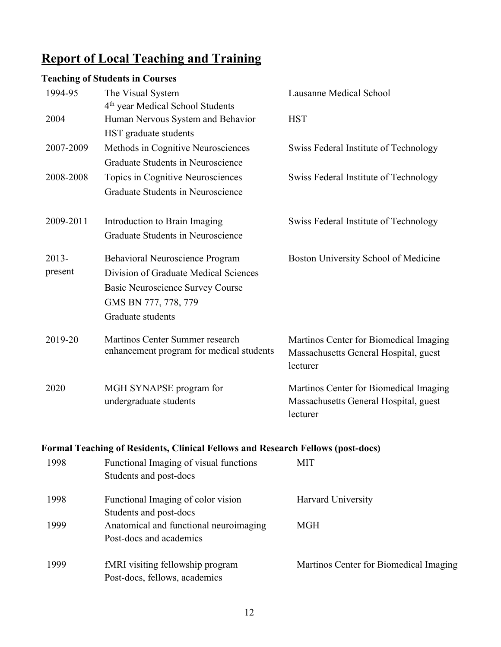# **Report of Local Teaching and Training**

# **Teaching of Students in Courses**

| 1994-95             | The Visual System                                                                                                                                                | Lausanne Medical School                                                                     |
|---------------------|------------------------------------------------------------------------------------------------------------------------------------------------------------------|---------------------------------------------------------------------------------------------|
| 2004                | 4 <sup>th</sup> year Medical School Students<br>Human Nervous System and Behavior<br>HST graduate students                                                       | <b>HST</b>                                                                                  |
| 2007-2009           | Methods in Cognitive Neurosciences<br>Graduate Students in Neuroscience                                                                                          | Swiss Federal Institute of Technology                                                       |
| 2008-2008           | Topics in Cognitive Neurosciences<br>Graduate Students in Neuroscience                                                                                           | Swiss Federal Institute of Technology                                                       |
| 2009-2011           | Introduction to Brain Imaging<br>Graduate Students in Neuroscience                                                                                               | Swiss Federal Institute of Technology                                                       |
| $2013 -$<br>present | <b>Behavioral Neuroscience Program</b><br>Division of Graduate Medical Sciences<br>Basic Neuroscience Survey Course<br>GMS BN 777, 778, 779<br>Graduate students | Boston University School of Medicine                                                        |
| 2019-20             | Martinos Center Summer research<br>enhancement program for medical students                                                                                      | Martinos Center for Biomedical Imaging<br>Massachusetts General Hospital, guest<br>lecturer |
| 2020                | MGH SYNAPSE program for<br>undergraduate students                                                                                                                | Martinos Center for Biomedical Imaging<br>Massachusetts General Hospital, guest<br>lecturer |
|                     | Formal Teaching of Residents, Clinical Fellows and Research Fellows (post-docs)                                                                                  |                                                                                             |
| 1998                | Functional Imaging of visual functions<br>Students and post-docs                                                                                                 | <b>MIT</b>                                                                                  |
| 1998                | Functional Imaging of color vision<br>Students and post-docs                                                                                                     | Harvard University                                                                          |
| 1999                | Anatomical and functional neuroimaging<br>Post-docs and academics                                                                                                | <b>MGH</b>                                                                                  |
| 1999                | fMRI visiting fellowship program<br>Post-docs, fellows, academics                                                                                                | Martinos Center for Biomedical Imaging                                                      |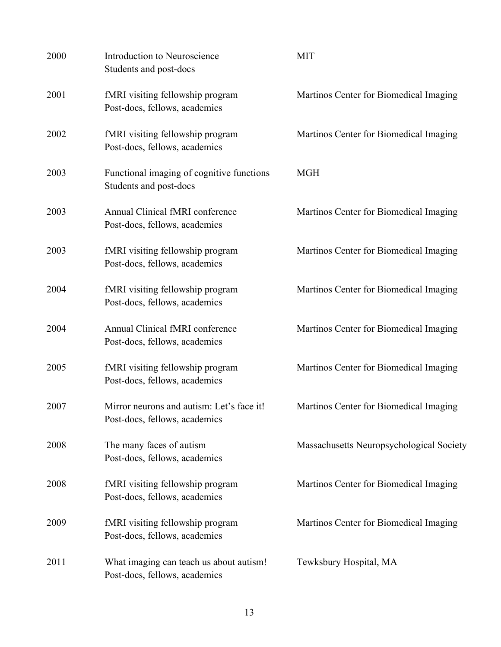| 2000 | Introduction to Neuroscience<br>Students and post-docs                     | <b>MIT</b>                               |
|------|----------------------------------------------------------------------------|------------------------------------------|
| 2001 | fMRI visiting fellowship program<br>Post-docs, fellows, academics          | Martinos Center for Biomedical Imaging   |
| 2002 | fMRI visiting fellowship program<br>Post-docs, fellows, academics          | Martinos Center for Biomedical Imaging   |
| 2003 | Functional imaging of cognitive functions<br>Students and post-docs        | <b>MGH</b>                               |
| 2003 | Annual Clinical fMRI conference<br>Post-docs, fellows, academics           | Martinos Center for Biomedical Imaging   |
| 2003 | fMRI visiting fellowship program<br>Post-docs, fellows, academics          | Martinos Center for Biomedical Imaging   |
| 2004 | fMRI visiting fellowship program<br>Post-docs, fellows, academics          | Martinos Center for Biomedical Imaging   |
| 2004 | Annual Clinical fMRI conference<br>Post-docs, fellows, academics           | Martinos Center for Biomedical Imaging   |
| 2005 | fMRI visiting fellowship program<br>Post-docs, fellows, academics          | Martinos Center for Biomedical Imaging   |
| 2007 | Mirror neurons and autism: Let's face it!<br>Post-docs, fellows, academics | Martinos Center for Biomedical Imaging   |
| 2008 | The many faces of autism<br>Post-docs, fellows, academics                  | Massachusetts Neuropsychological Society |
| 2008 | fMRI visiting fellowship program<br>Post-docs, fellows, academics          | Martinos Center for Biomedical Imaging   |
| 2009 | fMRI visiting fellowship program<br>Post-docs, fellows, academics          | Martinos Center for Biomedical Imaging   |
| 2011 | What imaging can teach us about autism!<br>Post-docs, fellows, academics   | Tewksbury Hospital, MA                   |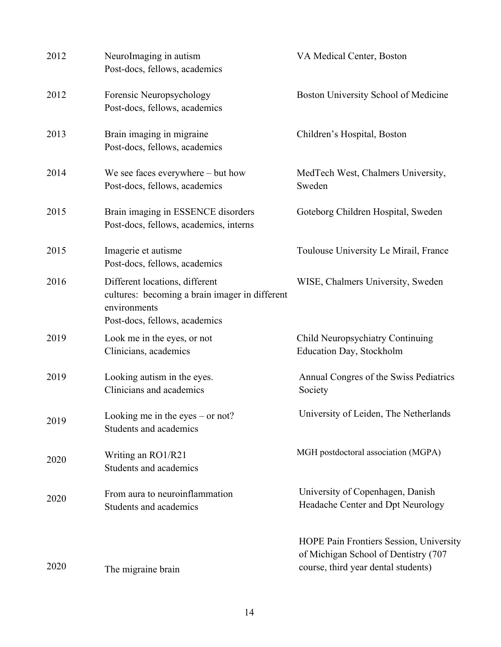| 2012 | NeuroImaging in autism<br>Post-docs, fellows, academics                                                                           | VA Medical Center, Boston                                                                                              |
|------|-----------------------------------------------------------------------------------------------------------------------------------|------------------------------------------------------------------------------------------------------------------------|
| 2012 | Forensic Neuropsychology<br>Post-docs, fellows, academics                                                                         | Boston University School of Medicine                                                                                   |
| 2013 | Brain imaging in migraine<br>Post-docs, fellows, academics                                                                        | Children's Hospital, Boston                                                                                            |
| 2014 | We see faces everywhere $-$ but how<br>Post-docs, fellows, academics                                                              | MedTech West, Chalmers University,<br>Sweden                                                                           |
| 2015 | Brain imaging in ESSENCE disorders<br>Post-docs, fellows, academics, interns                                                      | Goteborg Children Hospital, Sweden                                                                                     |
| 2015 | Imagerie et autisme<br>Post-docs, fellows, academics                                                                              | Toulouse University Le Mirail, France                                                                                  |
| 2016 | Different locations, different<br>cultures: becoming a brain imager in different<br>environments<br>Post-docs, fellows, academics | WISE, Chalmers University, Sweden                                                                                      |
| 2019 | Look me in the eyes, or not<br>Clinicians, academics                                                                              | Child Neuropsychiatry Continuing<br>Education Day, Stockholm                                                           |
| 2019 | Looking autism in the eyes.<br>Clinicians and academics                                                                           | Annual Congres of the Swiss Pediatrics<br>Society                                                                      |
| 2019 | Looking me in the eyes – or not?<br>Students and academics                                                                        | University of Leiden, The Netherlands                                                                                  |
| 2020 | Writing an RO1/R21<br>Students and academics                                                                                      | MGH postdoctoral association (MGPA)                                                                                    |
| 2020 | From aura to neuroinflammation<br>Students and academics                                                                          | University of Copenhagen, Danish<br>Headache Center and Dpt Neurology                                                  |
| 2020 | The migraine brain                                                                                                                | HOPE Pain Frontiers Session, University<br>of Michigan School of Dentistry (707<br>course, third year dental students) |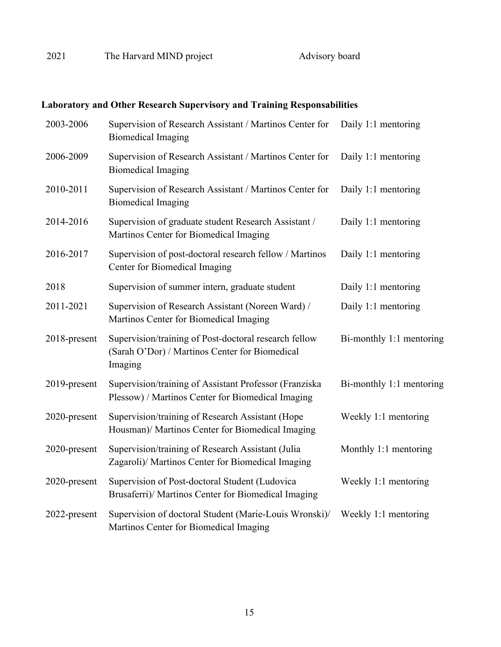# **Laboratory and Other Research Supervisory and Training Responsabilities**

| 2003-2006    | Supervision of Research Assistant / Martinos Center for<br><b>Biomedical Imaging</b>                               | Daily 1:1 mentoring      |
|--------------|--------------------------------------------------------------------------------------------------------------------|--------------------------|
| 2006-2009    | Supervision of Research Assistant / Martinos Center for<br><b>Biomedical Imaging</b>                               | Daily 1:1 mentoring      |
| 2010-2011    | Supervision of Research Assistant / Martinos Center for<br><b>Biomedical Imaging</b>                               | Daily 1:1 mentoring      |
| 2014-2016    | Supervision of graduate student Research Assistant /<br>Martinos Center for Biomedical Imaging                     | Daily 1:1 mentoring      |
| 2016-2017    | Supervision of post-doctoral research fellow / Martinos<br>Center for Biomedical Imaging                           | Daily 1:1 mentoring      |
| 2018         | Supervision of summer intern, graduate student                                                                     | Daily 1:1 mentoring      |
| 2011-2021    | Supervision of Research Assistant (Noreen Ward) /<br>Martinos Center for Biomedical Imaging                        | Daily 1:1 mentoring      |
| 2018-present | Supervision/training of Post-doctoral research fellow<br>(Sarah O'Dor) / Martinos Center for Biomedical<br>Imaging | Bi-monthly 1:1 mentoring |
| 2019-present | Supervision/training of Assistant Professor (Franziska<br>Plessow) / Martinos Center for Biomedical Imaging        | Bi-monthly 1:1 mentoring |
| 2020-present | Supervision/training of Research Assistant (Hope<br>Housman)/ Martinos Center for Biomedical Imaging               | Weekly 1:1 mentoring     |
| 2020-present | Supervision/training of Research Assistant (Julia<br>Zagaroli)/ Martinos Center for Biomedical Imaging             | Monthly 1:1 mentoring    |
| 2020-present | Supervision of Post-doctoral Student (Ludovica<br>Brusaferri)/ Martinos Center for Biomedical Imaging              | Weekly 1:1 mentoring     |
| 2022-present | Supervision of doctoral Student (Marie-Louis Wronski)/<br>Martinos Center for Biomedical Imaging                   | Weekly 1:1 mentoring     |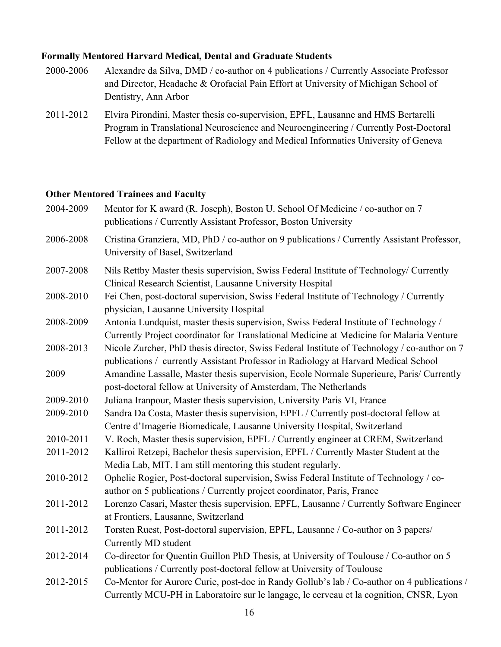### **Formally Mentored Harvard Medical, Dental and Graduate Students**

- 2000-2006 Alexandre da Silva, DMD / co-author on 4 publications / Currently Associate Professor and Director, Headache & Orofacial Pain Effort at University of Michigan School of Dentistry, Ann Arbor
- 2011-2012 Elvira Pirondini, Master thesis co-supervision, EPFL, Lausanne and HMS Bertarelli Program in Translational Neuroscience and Neuroengineering / Currently Post-Doctoral Fellow at the department of Radiology and Medical Informatics University of Geneva

### **Other Mentored Trainees and Faculty**

| 2004-2009 | Mentor for K award (R. Joseph), Boston U. School Of Medicine / co-author on 7<br>publications / Currently Assistant Professor, Boston University                                     |
|-----------|--------------------------------------------------------------------------------------------------------------------------------------------------------------------------------------|
| 2006-2008 | Cristina Granziera, MD, PhD / co-author on 9 publications / Currently Assistant Professor,<br>University of Basel, Switzerland                                                       |
| 2007-2008 | Nils Rettby Master thesis supervision, Swiss Federal Institute of Technology/ Currently<br>Clinical Research Scientist, Lausanne University Hospital                                 |
| 2008-2010 | Fei Chen, post-doctoral supervision, Swiss Federal Institute of Technology / Currently<br>physician, Lausanne University Hospital                                                    |
| 2008-2009 | Antonia Lundquist, master thesis supervision, Swiss Federal Institute of Technology /<br>Currently Project coordinator for Translational Medicine at Medicine for Malaria Venture    |
| 2008-2013 | Nicole Zurcher, PhD thesis director, Swiss Federal Institute of Technology / co-author on 7<br>publications / currently Assistant Professor in Radiology at Harvard Medical School   |
| 2009      | Amandine Lassalle, Master thesis supervision, Ecole Normale Superieure, Paris/ Currently<br>post-doctoral fellow at University of Amsterdam, The Netherlands                         |
| 2009-2010 | Juliana Iranpour, Master thesis supervision, University Paris VI, France                                                                                                             |
| 2009-2010 | Sandra Da Costa, Master thesis supervision, EPFL / Currently post-doctoral fellow at                                                                                                 |
|           | Centre d'Imagerie Biomedicale, Lausanne University Hospital, Switzerland                                                                                                             |
| 2010-2011 | V. Roch, Master thesis supervision, EPFL / Currently engineer at CREM, Switzerland                                                                                                   |
| 2011-2012 | Kalliroi Retzepi, Bachelor thesis supervision, EPFL / Currently Master Student at the                                                                                                |
|           | Media Lab, MIT. I am still mentoring this student regularly.                                                                                                                         |
| 2010-2012 | Ophelie Rogier, Post-doctoral supervision, Swiss Federal Institute of Technology / co-                                                                                               |
|           | author on 5 publications / Currently project coordinator, Paris, France                                                                                                              |
| 2011-2012 | Lorenzo Casari, Master thesis supervision, EPFL, Lausanne / Currently Software Engineer                                                                                              |
|           | at Frontiers, Lausanne, Switzerland                                                                                                                                                  |
| 2011-2012 | Torsten Ruest, Post-doctoral supervision, EPFL, Lausanne / Co-author on 3 papers/                                                                                                    |
|           | Currently MD student                                                                                                                                                                 |
| 2012-2014 | Co-director for Quentin Guillon PhD Thesis, at University of Toulouse / Co-author on 5                                                                                               |
|           | publications / Currently post-doctoral fellow at University of Toulouse                                                                                                              |
| 2012-2015 | Co-Mentor for Aurore Curie, post-doc in Randy Gollub's lab / Co-author on 4 publications /<br>Currently MCU-PH in Laboratoire sur le langage, le cerveau et la cognition, CNSR, Lyon |
|           |                                                                                                                                                                                      |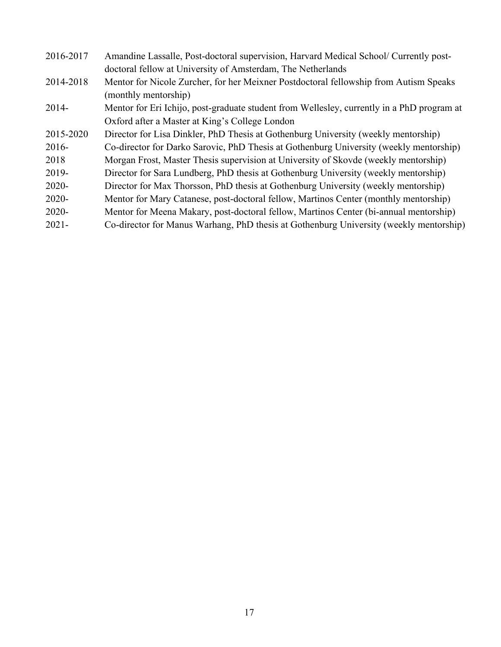| 2016-2017 | Amandine Lassalle, Post-doctoral supervision, Harvard Medical School/ Currently post-      |
|-----------|--------------------------------------------------------------------------------------------|
|           | doctoral fellow at University of Amsterdam, The Netherlands                                |
| 2014-2018 | Mentor for Nicole Zurcher, for her Meixner Postdoctoral fellowship from Autism Speaks      |
|           | (monthly mentorship)                                                                       |
| $2014-$   | Mentor for Eri Ichijo, post-graduate student from Wellesley, currently in a PhD program at |
|           | Oxford after a Master at King's College London                                             |
| 2015-2020 | Director for Lisa Dinkler, PhD Thesis at Gothenburg University (weekly mentorship)         |
| $2016-$   | Co-director for Darko Sarovic, PhD Thesis at Gothenburg University (weekly mentorship)     |
| 2018      | Morgan Frost, Master Thesis supervision at University of Skovde (weekly mentorship)        |
| 2019-     | Director for Sara Lundberg, PhD thesis at Gothenburg University (weekly mentorship)        |
| $2020 -$  | Director for Max Thorsson, PhD thesis at Gothenburg University (weekly mentorship)         |
| $2020 -$  | Mentor for Mary Catanese, post-doctoral fellow, Martinos Center (monthly mentorship)       |
| $2020 -$  | Mentor for Meena Makary, post-doctoral fellow, Martinos Center (bi-annual mentorship)      |
| $2021 -$  | Co-director for Manus Warhang, PhD thesis at Gothenburg University (weekly mentorship)     |
|           |                                                                                            |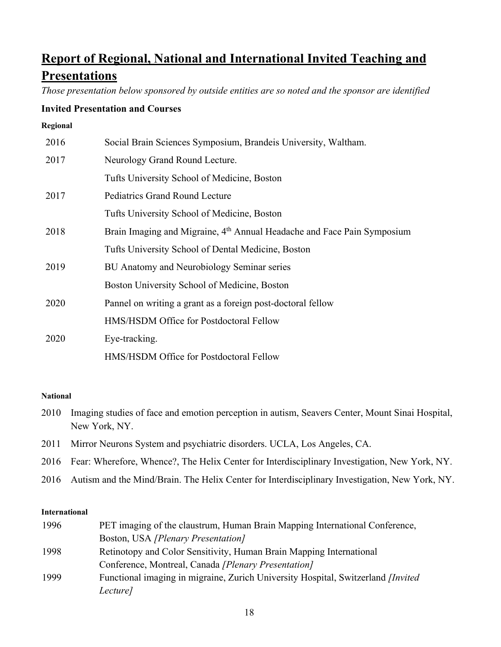# **Report of Regional, National and International Invited Teaching and Presentations**

*Those presentation below sponsored by outside entities are so noted and the sponsor are identified*

### **Invited Presentation and Courses**

#### **Regional**

| 2016 | Social Brain Sciences Symposium, Brandeis University, Waltham.                      |
|------|-------------------------------------------------------------------------------------|
| 2017 | Neurology Grand Round Lecture.                                                      |
|      | Tufts University School of Medicine, Boston                                         |
| 2017 | <b>Pediatrics Grand Round Lecture</b>                                               |
|      | Tufts University School of Medicine, Boston                                         |
| 2018 | Brain Imaging and Migraine, 4 <sup>th</sup> Annual Headache and Face Pain Symposium |
|      | Tufts University School of Dental Medicine, Boston                                  |
| 2019 | BU Anatomy and Neurobiology Seminar series                                          |
|      | Boston University School of Medicine, Boston                                        |
| 2020 | Pannel on writing a grant as a foreign post-doctoral fellow                         |
|      | HMS/HSDM Office for Postdoctoral Fellow                                             |
| 2020 | Eye-tracking.                                                                       |
|      | HMS/HSDM Office for Postdoctoral Fellow                                             |

### **National**

- 2010 Imaging studies of face and emotion perception in autism, Seavers Center, Mount Sinai Hospital, New York, NY.
- 2011 Mirror Neurons System and psychiatric disorders. UCLA, Los Angeles, CA.
- 2016 Fear: Wherefore, Whence?, The Helix Center for Interdisciplinary Investigation, New York, NY.
- 2016 Autism and the Mind/Brain. The Helix Center for Interdisciplinary Investigation, New York, NY.

### **International**

| 1996 | PET imaging of the claustrum, Human Brain Mapping International Conference,               |
|------|-------------------------------------------------------------------------------------------|
|      | Boston, USA [Plenary Presentation]                                                        |
| 1998 | Retinotopy and Color Sensitivity, Human Brain Mapping International                       |
|      | Conference, Montreal, Canada [Plenary Presentation]                                       |
| 1999 | Functional imaging in migraine, Zurich University Hospital, Switzerland <i>[Invited</i> ] |
|      | Lecture]                                                                                  |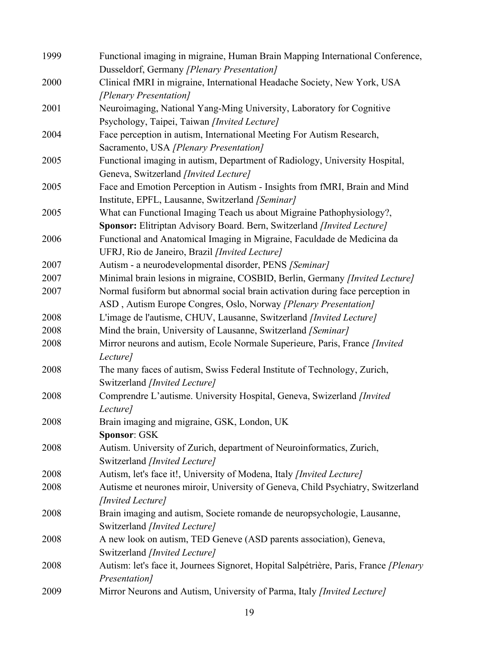| 1999 | Functional imaging in migraine, Human Brain Mapping International Conference,                                                  |
|------|--------------------------------------------------------------------------------------------------------------------------------|
|      | Dusseldorf, Germany [Plenary Presentation]                                                                                     |
| 2000 | Clinical fMRI in migraine, International Headache Society, New York, USA                                                       |
|      | [Plenary Presentation]                                                                                                         |
| 2001 | Neuroimaging, National Yang-Ming University, Laboratory for Cognitive                                                          |
|      | Psychology, Taipei, Taiwan [Invited Lecture]                                                                                   |
| 2004 | Face perception in autism, International Meeting For Autism Research,                                                          |
|      | Sacramento, USA [Plenary Presentation]                                                                                         |
| 2005 | Functional imaging in autism, Department of Radiology, University Hospital,                                                    |
|      | Geneva, Switzerland [Invited Lecture]                                                                                          |
| 2005 | Face and Emotion Perception in Autism - Insights from fMRI, Brain and Mind<br>Institute, EPFL, Lausanne, Switzerland [Seminar] |
| 2005 | What can Functional Imaging Teach us about Migraine Pathophysiology?,                                                          |
|      | Sponsor: Elitriptan Advisory Board. Bern, Switzerland [Invited Lecture]                                                        |
| 2006 | Functional and Anatomical Imaging in Migraine, Faculdade de Medicina da                                                        |
|      | UFRJ, Rio de Janeiro, Brazil [Invited Lecture]                                                                                 |
| 2007 | Autism - a neurodevelopmental disorder, PENS [Seminar]                                                                         |
| 2007 | Minimal brain lesions in migraine, COSBID, Berlin, Germany [Invited Lecture]                                                   |
| 2007 | Normal fusiform but abnormal social brain activation during face perception in                                                 |
|      | ASD, Autism Europe Congres, Oslo, Norway [Plenary Presentation]                                                                |
| 2008 | L'image de l'autisme, CHUV, Lausanne, Switzerland [Invited Lecture]                                                            |
| 2008 | Mind the brain, University of Lausanne, Switzerland [Seminar]                                                                  |
| 2008 | Mirror neurons and autism, Ecole Normale Superieure, Paris, France [Invited]                                                   |
|      | Lecture]                                                                                                                       |
| 2008 | The many faces of autism, Swiss Federal Institute of Technology, Zurich,                                                       |
|      | Switzerland [Invited Lecture]                                                                                                  |
| 2008 | Comprendre L'autisme. University Hospital, Geneva, Swizerland [Invited<br>Lecture]                                             |
| 2008 | Brain imaging and migraine, GSK, London, UK                                                                                    |
|      | Sponsor: GSK                                                                                                                   |
| 2008 | Autism. University of Zurich, department of Neuroinformatics, Zurich,                                                          |
|      | Switzerland [Invited Lecture]                                                                                                  |
| 2008 | Autism, let's face it!, University of Modena, Italy [Invited Lecture]                                                          |
| 2008 | Autisme et neurones miroir, University of Geneva, Child Psychiatry, Switzerland                                                |
|      | [Invited Lecture]                                                                                                              |
| 2008 | Brain imaging and autism, Societe romande de neuropsychologie, Lausanne,                                                       |
|      | Switzerland [Invited Lecture]                                                                                                  |
| 2008 | A new look on autism, TED Geneve (ASD parents association), Geneva,                                                            |
|      | Switzerland [Invited Lecture]                                                                                                  |
| 2008 | Autism: let's face it, Journees Signoret, Hopital Salpétrière, Paris, France [Plenary<br>Presentation]                         |
| 2009 | Mirror Neurons and Autism, University of Parma, Italy [Invited Lecture]                                                        |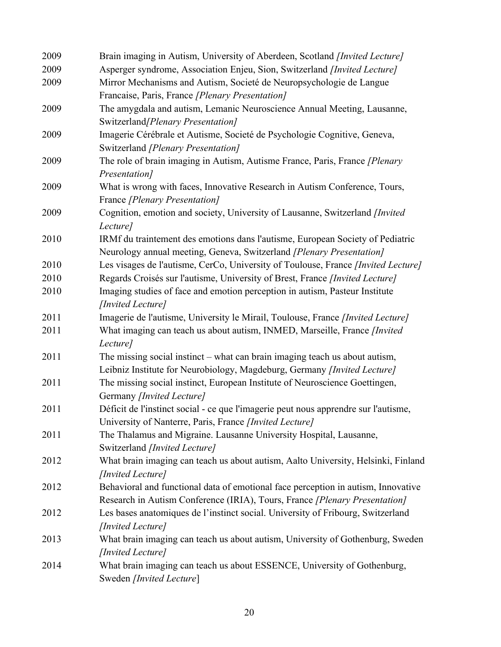| 2009 | Brain imaging in Autism, University of Aberdeen, Scotland [Invited Lecture]         |
|------|-------------------------------------------------------------------------------------|
| 2009 | Asperger syndrome, Association Enjeu, Sion, Switzerland [Invited Lecture]           |
| 2009 | Mirror Mechanisms and Autism, Societé de Neuropsychologie de Langue                 |
|      | Francaise, Paris, France [Plenary Presentation]                                     |
| 2009 | The amygdala and autism, Lemanic Neuroscience Annual Meeting, Lausanne,             |
|      | Switzerland/Plenary Presentation]                                                   |
| 2009 | Imagerie Cérébrale et Autisme, Societé de Psychologie Cognitive, Geneva,            |
|      | Switzerland [Plenary Presentation]                                                  |
| 2009 | The role of brain imaging in Autism, Autisme France, Paris, France [Plenary         |
|      | Presentation]                                                                       |
| 2009 | What is wrong with faces, Innovative Research in Autism Conference, Tours,          |
|      | France [Plenary Presentation]                                                       |
| 2009 | Cognition, emotion and society, University of Lausanne, Switzerland [Invited        |
|      | Lecture]                                                                            |
| 2010 | IRMf du traintement des emotions dans l'autisme, European Society of Pediatric      |
|      | Neurology annual meeting, Geneva, Switzerland [Plenary Presentation]                |
| 2010 | Les visages de l'autisme, CerCo, University of Toulouse, France [Invited Lecture]   |
| 2010 | Regards Croisés sur l'autisme, University of Brest, France [Invited Lecture]        |
| 2010 | Imaging studies of face and emotion perception in autism, Pasteur Institute         |
|      | [Invited Lecture]                                                                   |
| 2011 | Imagerie de l'autisme, University le Mirail, Toulouse, France [Invited Lecture]     |
| 2011 | What imaging can teach us about autism, INMED, Marseille, France [Invited           |
|      | Lecture]                                                                            |
| 2011 | The missing social instinct – what can brain imaging teach us about autism,         |
|      | Leibniz Institute for Neurobiology, Magdeburg, Germany [Invited Lecture]            |
| 2011 | The missing social instinct, European Institute of Neuroscience Goettingen,         |
|      | Germany [Invited Lecture]                                                           |
| 2011 | Déficit de l'instinct social - ce que l'imagerie peut nous apprendre sur l'autisme, |
|      | University of Nanterre, Paris, France [Invited Lecture]                             |
| 2011 | The Thalamus and Migraine. Lausanne University Hospital, Lausanne,                  |
|      | Switzerland [Invited Lecture]                                                       |
| 2012 | What brain imaging can teach us about autism, Aalto University, Helsinki, Finland   |
|      | [Invited Lecture]                                                                   |
| 2012 | Behavioral and functional data of emotional face perception in autism, Innovative   |
|      | Research in Autism Conference (IRIA), Tours, France [Plenary Presentation]          |
| 2012 | Les bases anatomiques de l'instinct social. University of Fribourg, Switzerland     |
|      | [Invited Lecture]                                                                   |
| 2013 | What brain imaging can teach us about autism, University of Gothenburg, Sweden      |
|      | [Invited Lecture]                                                                   |
| 2014 | What brain imaging can teach us about ESSENCE, University of Gothenburg,            |
|      | Sweden [Invited Lecture]                                                            |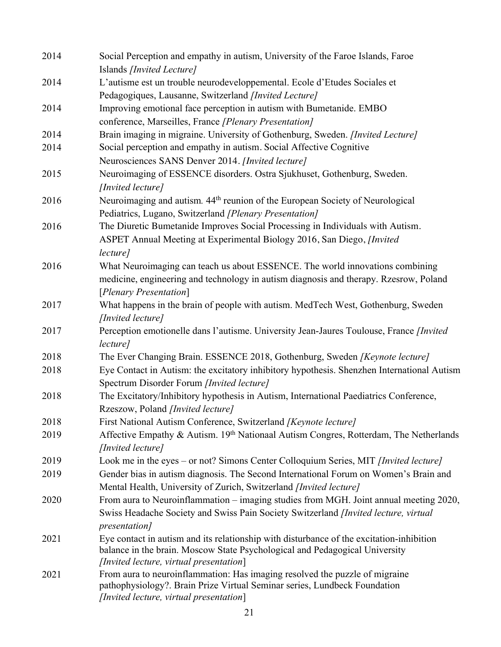| 2014 | Social Perception and empathy in autism, University of the Faroe Islands, Faroe<br>Islands [Invited Lecture]                                             |
|------|----------------------------------------------------------------------------------------------------------------------------------------------------------|
| 2014 | L'autisme est un trouble neurodeveloppemental. Ecole d'Etudes Sociales et                                                                                |
|      | Pedagogiques, Lausanne, Switzerland [Invited Lecture]                                                                                                    |
| 2014 | Improving emotional face perception in autism with Bumetanide. EMBO                                                                                      |
|      | conference, Marseilles, France [Plenary Presentation]                                                                                                    |
| 2014 | Brain imaging in migraine. University of Gothenburg, Sweden. [Invited Lecture]                                                                           |
| 2014 | Social perception and empathy in autism. Social Affective Cognitive                                                                                      |
|      | Neurosciences SANS Denver 2014. [Invited lecture]                                                                                                        |
| 2015 | Neuroimaging of ESSENCE disorders. Ostra Sjukhuset, Gothenburg, Sweden.                                                                                  |
|      | [Invited lecture]                                                                                                                                        |
| 2016 | Neuroimaging and autism. 44 <sup>th</sup> reunion of the European Society of Neurological                                                                |
|      | Pediatrics, Lugano, Switzerland [Plenary Presentation]                                                                                                   |
| 2016 | The Diuretic Bumetanide Improves Social Processing in Individuals with Autism.                                                                           |
|      | ASPET Annual Meeting at Experimental Biology 2016, San Diego, [Invited                                                                                   |
|      | lecture]                                                                                                                                                 |
| 2016 | What Neuroimaging can teach us about ESSENCE. The world innovations combining                                                                            |
|      | medicine, engineering and technology in autism diagnosis and therapy. Rzesrow, Poland                                                                    |
|      | [Plenary Presentation]                                                                                                                                   |
| 2017 | What happens in the brain of people with autism. MedTech West, Gothenburg, Sweden                                                                        |
|      | [Invited lecture]                                                                                                                                        |
| 2017 | Perception emotionelle dans l'autisme. University Jean-Jaures Toulouse, France [Invited]<br>lecture]                                                     |
| 2018 | The Ever Changing Brain. ESSENCE 2018, Gothenburg, Sweden [Keynote lecture]                                                                              |
| 2018 | Eye Contact in Autism: the excitatory inhibitory hypothesis. Shenzhen International Autism                                                               |
|      | Spectrum Disorder Forum [Invited lecture]                                                                                                                |
| 2018 | The Excitatory/Inhibitory hypothesis in Autism, International Paediatrics Conference,                                                                    |
|      | Rzeszow, Poland [Invited lecture]                                                                                                                        |
| 2018 | First National Autism Conference, Switzerland [Keynote lecture]                                                                                          |
| 2019 | Affective Empathy & Autism. 19th Nationaal Autism Congres, Rotterdam, The Netherlands<br>[Invited lecture]                                               |
| 2019 | Look me in the eyes – or not? Simons Center Colloquium Series, MIT [Invited lecture]                                                                     |
| 2019 | Gender bias in autism diagnosis. The Second International Forum on Women's Brain and                                                                     |
|      | Mental Health, University of Zurich, Switzerland [Invited lecture]                                                                                       |
| 2020 | From aura to Neuroinflammation - imaging studies from MGH. Joint annual meeting 2020,                                                                    |
|      | Swiss Headache Society and Swiss Pain Society Switzerland [Invited lecture, virtual                                                                      |
|      | <i>presentation</i> ]                                                                                                                                    |
| 2021 | Eye contact in autism and its relationship with disturbance of the excitation-inhibition                                                                 |
|      | balance in the brain. Moscow State Psychological and Pedagogical University                                                                              |
|      | [Invited lecture, virtual presentation]                                                                                                                  |
| 2021 | From aura to neuroinflammation: Has imaging resolved the puzzle of migraine<br>pathophysiology?. Brain Prize Virtual Seminar series, Lundbeck Foundation |
|      | [Invited lecture, virtual presentation]                                                                                                                  |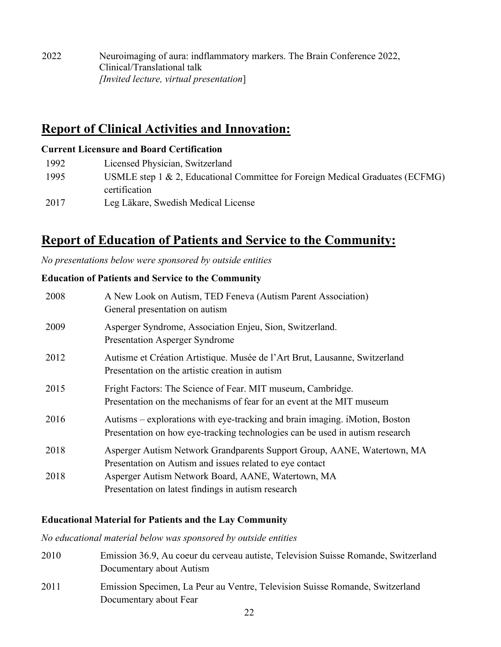2022 Neuroimaging of aura: indflammatory markers. The Brain Conference 2022, Clinical/Translational talk *[Invited lecture, virtual presentation*]

# **Report of Clinical Activities and Innovation:**

### **Current Licensure and Board Certification**

| 1992 | Licensed Physician, Switzerland                                               |
|------|-------------------------------------------------------------------------------|
| 1995 | USMLE step 1 & 2, Educational Committee for Foreign Medical Graduates (ECFMG) |
|      | certification                                                                 |
| 2017 | Leg Läkare, Swedish Medical License                                           |

# **Report of Education of Patients and Service to the Community:**

*No presentations below were sponsored by outside entities*

### **Education of Patients and Service to the Community**

| 2008 | A New Look on Autism, TED Feneva (Autism Parent Association)<br>General presentation on autism                                                              |
|------|-------------------------------------------------------------------------------------------------------------------------------------------------------------|
| 2009 | Asperger Syndrome, Association Enjeu, Sion, Switzerland.<br><b>Presentation Asperger Syndrome</b>                                                           |
| 2012 | Autisme et Création Artistique. Musée de l'Art Brut, Lausanne, Switzerland<br>Presentation on the artistic creation in autism                               |
| 2015 | Fright Factors: The Science of Fear. MIT museum, Cambridge.<br>Presentation on the mechanisms of fear for an event at the MIT museum                        |
| 2016 | Autisms – explorations with eye-tracking and brain imaging. iMotion, Boston<br>Presentation on how eye-tracking technologies can be used in autism research |
| 2018 | Asperger Autism Network Grandparents Support Group, AANE, Watertown, MA<br>Presentation on Autism and issues related to eye contact                         |
| 2018 | Asperger Autism Network Board, AANE, Watertown, MA<br>Presentation on latest findings in autism research                                                    |

### **Educational Material for Patients and the Lay Community**

*No educational material below was sponsored by outside entities*

| 2010 | Emission 36.9, Au coeur du cerveau autiste, Television Suisse Romande, Switzerland<br>Documentary about Autism |
|------|----------------------------------------------------------------------------------------------------------------|
| 2011 | Emission Specimen, La Peur au Ventre, Television Suisse Romande, Switzerland<br>Documentary about Fear         |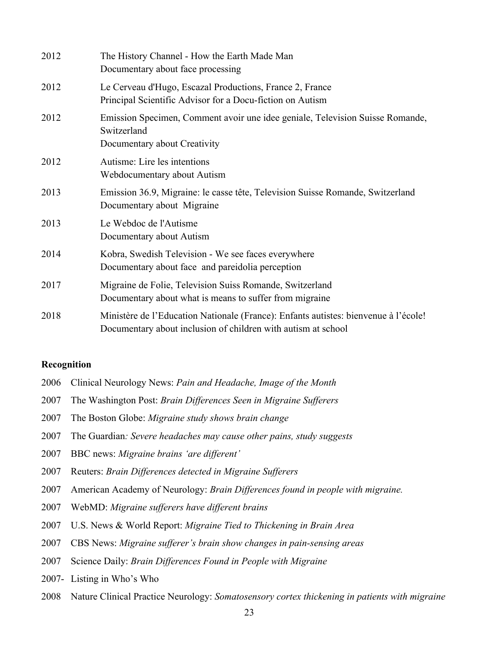| 2012 | The History Channel - How the Earth Made Man<br>Documentary about face processing                                                                    |
|------|------------------------------------------------------------------------------------------------------------------------------------------------------|
| 2012 | Le Cerveau d'Hugo, Escazal Productions, France 2, France<br>Principal Scientific Advisor for a Docu-fiction on Autism                                |
| 2012 | Emission Specimen, Comment avoir une idee geniale, Television Suisse Romande,<br>Switzerland<br>Documentary about Creativity                         |
| 2012 | Autisme: Lire les intentions<br>Webdocumentary about Autism                                                                                          |
| 2013 | Emission 36.9, Migraine: le casse tête, Television Suisse Romande, Switzerland<br>Documentary about Migraine                                         |
| 2013 | Le Webdoc de l'Autisme<br>Documentary about Autism                                                                                                   |
| 2014 | Kobra, Swedish Television - We see faces everywhere<br>Documentary about face and pareidolia perception                                              |
| 2017 | Migraine de Folie, Television Suiss Romande, Switzerland<br>Documentary about what is means to suffer from migraine                                  |
| 2018 | Ministère de l'Education Nationale (France): Enfants autistes: bienvenue à l'école!<br>Documentary about inclusion of children with autism at school |

#### **Recognition**

- Clinical Neurology News: *Pain and Headache, Image of the Month*
- The Washington Post: *Brain Differences Seen in Migraine Sufferers*
- The Boston Globe: *Migraine study shows brain change*
- The Guardian*: Severe headaches may cause other pains, study suggests*
- BBC news: *Migraine brains 'are different'*
- Reuters: *Brain Differences detected in Migraine Sufferers*
- American Academy of Neurology: *Brain Differences found in people with migraine.*
- WebMD: *Migraine sufferers have different brains*
- U.S. News & World Report: *Migraine Tied to Thickening in Brain Area*
- CBS News: *Migraine sufferer's brain show changes in pain-sensing areas*
- Science Daily: *Brain Differences Found in People with Migraine*
- 2007- Listing in Who's Who
- Nature Clinical Practice Neurology: *Somatosensory cortex thickening in patients with migraine*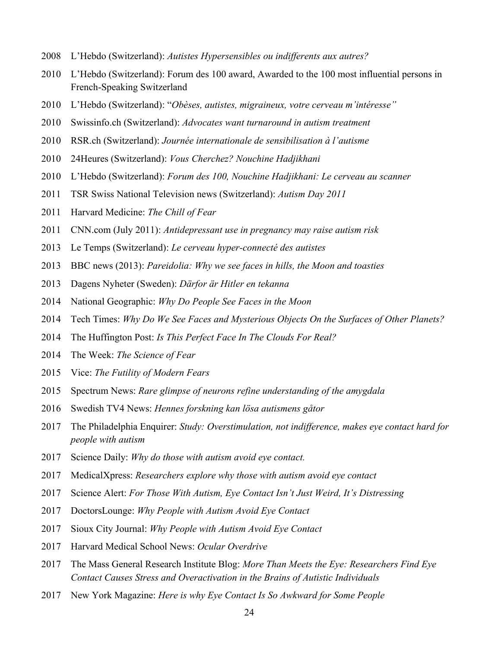- L'Hebdo (Switzerland): *Autistes Hypersensibles ou indifferents aux autres?*
- L'Hebdo (Switzerland): Forum des 100 award, Awarded to the 100 most influential persons in French-Speaking Switzerland
- L'Hebdo (Switzerland): "*Obèses, autistes, migraineux, votre cerveau m'intéresse"*
- Swissinfo.ch (Switzerland): *Advocates want turnaround in autism treatment*
- RSR.ch (Switzerland): *Journée internationale de sensibilisation à l'autisme*
- 24Heures (Switzerland): *Vous Cherchez? Nouchine Hadjikhani*
- L'Hebdo (Switzerland): *Forum des 100, Nouchine Hadjikhani: Le cerveau au scanner*
- TSR Swiss National Television news (Switzerland): *Autism Day 2011*
- Harvard Medicine: *The Chill of Fear*
- CNN.com (July 2011): *Antidepressant use in pregnancy may raise autism risk*
- Le Temps (Switzerland): *Le cerveau hyper-connecté des autistes*
- BBC news (2013): *Pareidolia: Why we see faces in hills, the Moon and toasties*
- Dagens Nyheter (Sweden): *Därfor är Hitler en tekanna*
- National Geographic: *Why Do People See Faces in the Moon*
- Tech Times: *Why Do We See Faces and Mysterious Objects On the Surfaces of Other Planets?*
- The Huffington Post: *Is This Perfect Face In The Clouds For Real?*
- The Week: *The Science of Fear*
- Vice: *The Futility of Modern Fears*
- Spectrum News: *Rare glimpse of neurons refine understanding of the amygdala*
- Swedish TV4 News: *Hennes forskning kan lösa autismens gåtor*
- The Philadelphia Enquirer: *Study: Overstimulation, not indifference, makes eye contact hard for people with autism*
- Science Daily: *Why do those with autism avoid eye contact.*
- MedicalXpress: *Researchers explore why those with autism avoid eye contact*
- Science Alert: *For Those With Autism, Eye Contact Isn't Just Weird, It's Distressing*
- DoctorsLounge: *Why People with Autism Avoid Eye Contact*
- Sioux City Journal: *Why People with Autism Avoid Eye Contact*
- Harvard Medical School News: *Ocular Overdrive*
- The Mass General Research Institute Blog: *More Than Meets the Eye: Researchers Find Eye Contact Causes Stress and Overactivation in the Brains of Autistic Individuals*
- New York Magazine: *Here is why Eye Contact Is So Awkward for Some People*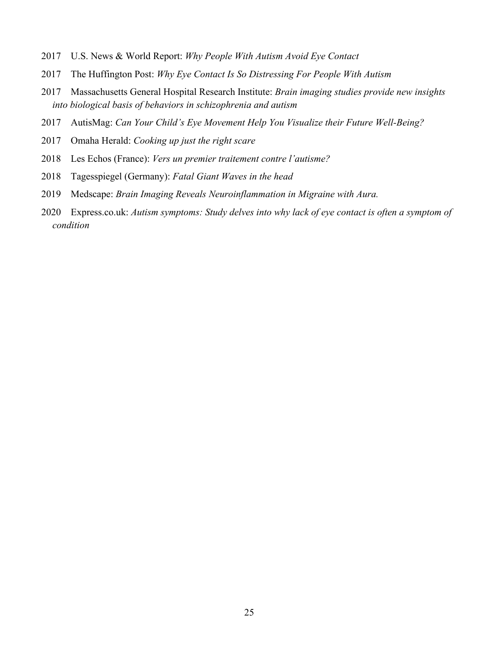- U.S. News & World Report: *Why People With Autism Avoid Eye Contact*
- The Huffington Post: *Why Eye Contact Is So Distressing For People With Autism*
- Massachusetts General Hospital Research Institute: *Brain imaging studies provide new insights into biological basis of behaviors in schizophrenia and autism*
- AutisMag: *Can Your Child's Eye Movement Help You Visualize their Future Well-Being?*
- Omaha Herald: *Cooking up just the right scare*
- Les Echos (France): *Vers un premier traitement contre l'autisme?*
- Tagesspiegel (Germany): *Fatal Giant Waves in the head*
- Medscape: *Brain Imaging Reveals Neuroinflammation in Migraine with Aura.*
- Express.co.uk: *Autism symptoms: Study delves into why lack of eye contact is often a symptom of condition*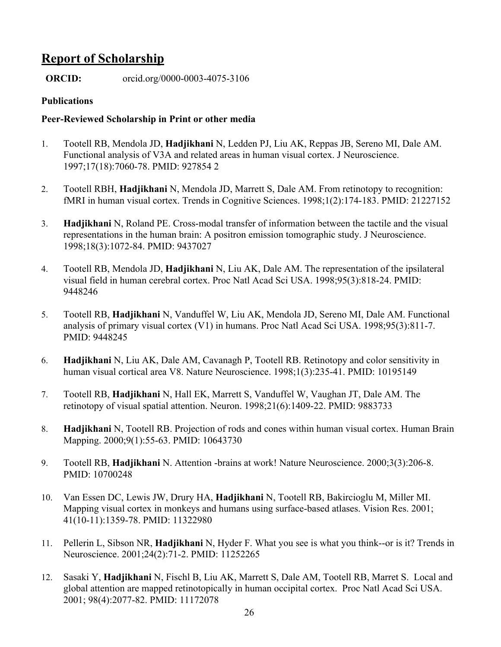# **Report of Scholarship**

**ORCID:** orcid.org/0000-0003-4075-3106

### **Publications**

### **Peer-Reviewed Scholarship in Print or other media**

- 1. Tootell RB, Mendola JD, **Hadjikhani** N, Ledden PJ, Liu AK, Reppas JB, Sereno MI, Dale AM. Functional analysis of V3A and related areas in human visual cortex. J Neuroscience. 1997;17(18):7060-78. PMID: 927854 2
- 2. Tootell RBH, **Hadjikhani** N, Mendola JD, Marrett S, Dale AM. From retinotopy to recognition: fMRI in human visual cortex. Trends in Cognitive Sciences. 1998;1(2):174-183. PMID: 21227152
- 3. **Hadjikhani** N, Roland PE. Cross-modal transfer of information between the tactile and the visual representations in the human brain: A positron emission tomographic study. J Neuroscience. 1998;18(3):1072-84. PMID: 9437027
- 4. Tootell RB, Mendola JD, **Hadjikhani** N, Liu AK, Dale AM. The representation of the ipsilateral visual field in human cerebral cortex. Proc Natl Acad Sci USA. 1998;95(3):818-24. PMID: 9448246
- 5. Tootell RB, **Hadjikhani** N, Vanduffel W, Liu AK, Mendola JD, Sereno MI, Dale AM. Functional analysis of primary visual cortex (V1) in humans. Proc Natl Acad Sci USA. 1998;95(3):811-7. PMID: 9448245
- 6. **Hadjikhani** N, Liu AK, Dale AM, Cavanagh P, Tootell RB. Retinotopy and color sensitivity in human visual cortical area V8. Nature Neuroscience. 1998;1(3):235-41. PMID: 10195149
- 7. Tootell RB, **Hadjikhani** N, Hall EK, Marrett S, Vanduffel W, Vaughan JT, Dale AM. The retinotopy of visual spatial attention. Neuron. 1998;21(6):1409-22. PMID: 9883733
- 8. **Hadjikhani** N, Tootell RB. Projection of rods and cones within human visual cortex. Human Brain Mapping. 2000;9(1):55-63. PMID: 10643730
- 9. Tootell RB, **Hadjikhani** N. Attention -brains at work! Nature Neuroscience. 2000;3(3):206-8. PMID: 10700248
- 10. Van Essen DC, Lewis JW, Drury HA, **Hadjikhani** N, Tootell RB, Bakircioglu M, Miller MI. Mapping visual cortex in monkeys and humans using surface-based atlases. Vision Res. 2001; 41(10-11):1359-78. PMID: 11322980
- 11. Pellerin L, Sibson NR, **Hadjikhani** N, Hyder F. What you see is what you think--or is it? Trends in Neuroscience. 2001;24(2):71-2. PMID: 11252265
- 12. Sasaki Y, **Hadjikhani** N, Fischl B, Liu AK, Marrett S, Dale AM, Tootell RB, Marret S. Local and global attention are mapped retinotopically in human occipital cortex. Proc Natl Acad Sci USA. 2001; 98(4):2077-82. PMID: 11172078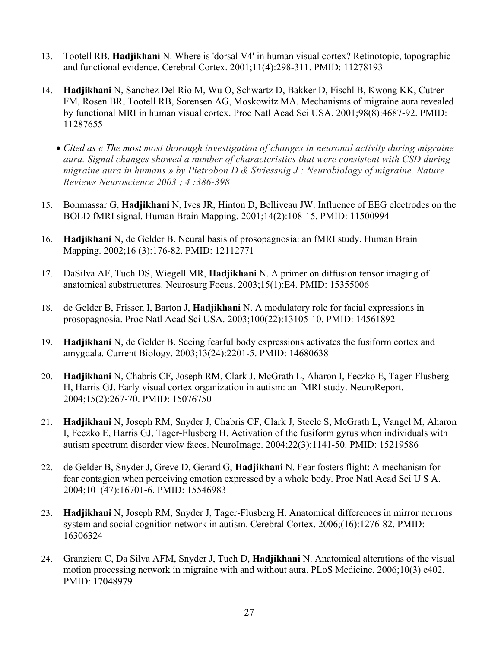- 13. Tootell RB, **Hadjikhani** N. Where is 'dorsal V4' in human visual cortex? Retinotopic, topographic and functional evidence. Cerebral Cortex. 2001;11(4):298-311. PMID: 11278193
- 14. **Hadjikhani** N, Sanchez Del Rio M, Wu O, Schwartz D, Bakker D, Fischl B, Kwong KK, Cutrer FM, Rosen BR, Tootell RB, Sorensen AG, Moskowitz MA. Mechanisms of migraine aura revealed by functional MRI in human visual cortex. Proc Natl Acad Sci USA. 2001;98(8):4687-92. PMID: 11287655
	- *Cited as « The most most thorough investigation of changes in neuronal activity during migraine aura. Signal changes showed a number of characteristics that were consistent with CSD during migraine aura in humans » by Pietrobon D & Striessnig J : Neurobiology of migraine. Nature Reviews Neuroscience 2003 ; 4 :386-398*
- 15. Bonmassar G, **Hadjikhani** N, Ives JR, Hinton D, Belliveau JW. Influence of EEG electrodes on the BOLD fMRI signal. Human Brain Mapping. 2001;14(2):108-15. PMID: 11500994
- 16. **Hadjikhani** N, de Gelder B. Neural basis of prosopagnosia: an fMRI study. Human Brain Mapping. 2002;16 (3):176-82. PMID: 12112771
- 17. DaSilva AF, Tuch DS, Wiegell MR, **Hadjikhani** N. A primer on diffusion tensor imaging of anatomical substructures. Neurosurg Focus. 2003;15(1):E4. PMID: 15355006
- 18. de Gelder B, Frissen I, Barton J, **Hadjikhani** N. A modulatory role for facial expressions in prosopagnosia. Proc Natl Acad Sci USA. 2003;100(22):13105-10. PMID: 14561892
- 19. **Hadjikhani** N, de Gelder B. Seeing fearful body expressions activates the fusiform cortex and amygdala. Current Biology. 2003;13(24):2201-5. PMID: 14680638
- 20. **Hadjikhani** N, Chabris CF, Joseph RM, Clark J, McGrath L, Aharon I, Feczko E, Tager-Flusberg H, Harris GJ. Early visual cortex organization in autism: an fMRI study. NeuroReport. 2004;15(2):267-70. PMID: 15076750
- 21. **Hadjikhani** N, Joseph RM, Snyder J, Chabris CF, Clark J, Steele S, McGrath L, Vangel M, Aharon I, Feczko E, Harris GJ, Tager-Flusberg H. Activation of the fusiform gyrus when individuals with autism spectrum disorder view faces. NeuroImage. 2004;22(3):1141-50. PMID: 15219586
- 22. de Gelder B, Snyder J, Greve D, Gerard G, **Hadjikhani** N. Fear fosters flight: A mechanism for fear contagion when perceiving emotion expressed by a whole body. Proc Natl Acad Sci U S A. 2004;101(47):16701-6. PMID: 15546983
- 23. **Hadjikhani** N, Joseph RM, Snyder J, Tager-Flusberg H. Anatomical differences in mirror neurons system and social cognition network in autism. Cerebral Cortex. 2006;(16):1276-82. PMID: 16306324
- 24. Granziera C, Da Silva AFM, Snyder J, Tuch D, **Hadjikhani** N. Anatomical alterations of the visual motion processing network in migraine with and without aura. PLoS Medicine. 2006;10(3) e402. PMID: 17048979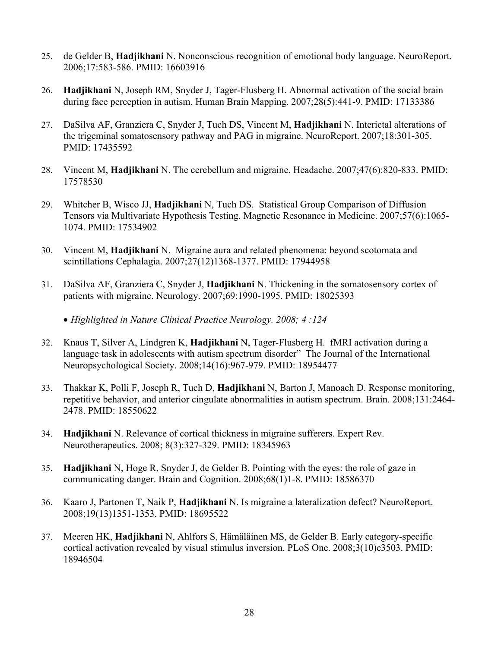- 25. de Gelder B, **Hadjikhani** N. Nonconscious recognition of emotional body language. NeuroReport. 2006;17:583-586. PMID: 16603916
- 26. **Hadjikhani** N, Joseph RM, Snyder J, Tager-Flusberg H. Abnormal activation of the social brain during face perception in autism. Human Brain Mapping. 2007;28(5):441-9. PMID: 17133386
- 27. DaSilva AF, Granziera C, Snyder J, Tuch DS, Vincent M, **Hadjikhani** N. Interictal alterations of the trigeminal somatosensory pathway and PAG in migraine. NeuroReport. 2007;18:301-305. PMID: 17435592
- 28. Vincent M, **Hadjikhani** N. The cerebellum and migraine. Headache. 2007;47(6):820-833. PMID: 17578530
- 29. Whitcher B, Wisco JJ, **Hadjikhani** N, Tuch DS. Statistical Group Comparison of Diffusion Tensors via Multivariate Hypothesis Testing. Magnetic Resonance in Medicine. 2007;57(6):1065- 1074. PMID: 17534902
- 30. Vincent M, **Hadjikhani** N. Migraine aura and related phenomena: beyond scotomata and scintillations Cephalagia. 2007;27(12)1368-1377. PMID: 17944958
- 31. DaSilva AF, Granziera C, Snyder J, **Hadjikhani** N. Thickening in the somatosensory cortex of patients with migraine. Neurology. 2007;69:1990-1995. PMID: 18025393
	- *Highlighted in Nature Clinical Practice Neurology. 2008; 4 :124*
- 32. Knaus T, Silver A, Lindgren K, **Hadjikhani** N, Tager-Flusberg H. fMRI activation during a language task in adolescents with autism spectrum disorder" The Journal of the International Neuropsychological Society. 2008;14(16):967-979. PMID: 18954477
- 33. Thakkar K, Polli F, Joseph R, Tuch D, **Hadjikhani** N, Barton J, Manoach D. Response monitoring, repetitive behavior, and anterior cingulate abnormalities in autism spectrum. Brain. 2008;131:2464- 2478. PMID: 18550622
- 34. **Hadjikhani** N. Relevance of cortical thickness in migraine sufferers. Expert Rev. Neurotherapeutics. 2008; 8(3):327-329. PMID: 18345963
- 35. **Hadjikhani** N, Hoge R, Snyder J, de Gelder B. Pointing with the eyes: the role of gaze in communicating danger. Brain and Cognition. 2008;68(1)1-8. PMID: 18586370
- 36. Kaaro J, Partonen T, Naik P, **Hadjikhani** N. Is migraine a lateralization defect? NeuroReport. 2008;19(13)1351-1353. PMID: 18695522
- 37. Meeren HK, **Hadjikhani** N, Ahlfors S, Hämäläinen MS, de Gelder B. Early category-specific cortical activation revealed by visual stimulus inversion. PLoS One. 2008;3(10)e3503. PMID: 18946504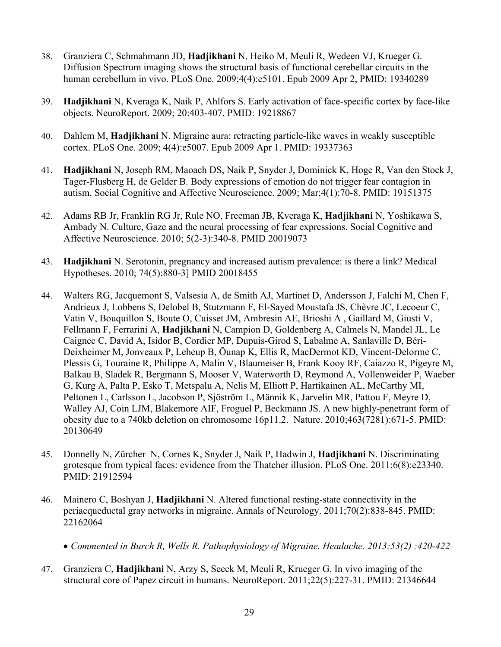- 38. Granziera C, Schmahmann JD, **Hadjikhani** N, Heiko M, Meuli R, Wedeen VJ, Krueger G. Diffusion Spectrum imaging shows the structural basis of functional cerebellar circuits in the human cerebellum in vivo. PLoS One. 2009;4(4):e5101. Epub 2009 Apr 2, PMID: 19340289
- 39. **Hadjikhani** N, Kveraga K, Naik P, Ahlfors S. Early activation of face-specific cortex by face-like objects. NeuroReport. 2009; 20:403-407. PMID: 19218867
- 40. Dahlem M, **Hadjikhani** N. Migraine aura: retracting particle-like waves in weakly susceptible cortex. PLoS One. 2009; 4(4):e5007. Epub 2009 Apr 1. PMID: 19337363
- 41. **Hadjikhani** N, Joseph RM, Maoach DS, Naik P, Snyder J, Dominick K, Hoge R, Van den Stock J, Tager-Flusberg H, de Gelder B. Body expressions of emotion do not trigger fear contagion in autism. Social Cognitive and Affective Neuroscience. 2009; Mar;4(1):70-8. PMID: 19151375
- 42. Adams RB Jr, Franklin RG Jr, Rule NO, Freeman JB, Kveraga K, **Hadjikhani** N, Yoshikawa S, Ambady N. Culture, Gaze and the neural processing of fear expressions. Social Cognitive and Affective Neuroscience. 2010; 5(2-3):340-8. PMID 20019073
- 43. **Hadjikhani** N. Serotonin, pregnancy and increased autism prevalence: is there a link? Medical Hypotheses. 2010; 74(5):880-3] PMID 20018455
- 44. Walters RG, Jacquemont S, Valsesia A, de Smith AJ, Martinet D, Andersson J, Falchi M, Chen F, Andrieux J, Lobbens S, Delobel B, Stutzmann F, El-Sayed Moustafa JS, Chèvre JC, Lecoeur C, Vatin V, Bouquillon S, Boute O, Cuisset JM, Ambresin AE, Brioshi A , Gaillard M, Giusti V, Fellmann F, Ferrarini A, **Hadjikhani** N, Campion D, Goldenberg A, Calmels N, Mandel JL, Le Caignec C, David A, Isidor B, Cordier MP, Dupuis-Girod S, Labalme A, Sanlaville D, Béri-Deixheimer M, Jonveaux P, Leheup B, Õunap K, Ellis R, MacDermot KD, Vincent-Delorme C, Plessis G, Touraine R, Philippe A, Malin V, Blaumeiser B, Frank Kooy RF, Caiazzo R, Pigeyre M, Balkau B, Sladek R, Bergmann S, Mooser V, Waterworth D, Reymond A, Vollenweider P, Waeber G, Kurg A, Palta P, Esko T, Metspalu A, Nelis M, Elliott P, Hartikainen AL, McCarthy MI, Peltonen L, Carlsson L, Jacobson P, Sjöström L, Männik K, Jarvelin MR, Pattou F, Meyre D, Walley AJ, Coin LJM, Blakemore AIF, Froguel P, Beckmann JS. A new highly-penetrant form of obesity due to a 740kb deletion on chromosome 16p11.2. Nature. 2010;463(7281):671-5. PMID: 20130649
- 45. Donnelly N, Zürcher N, Cornes K, Snyder J, Naik P, Hadwin J, **Hadjikhani** N. Discriminating grotesque from typical faces: evidence from the Thatcher illusion. PLoS One. 2011;6(8):e23340. PMID: 21912594
- 46. Mainero C, Boshyan J, **Hadjikhani** N. Altered functional resting-state connectivity in the periacqueductal gray networks in migraine. Annals of Neurology. 2011;70(2):838-845. PMID: 22162064
	- *Commented in Burch R, Wells R. Pathophysiology of Migraine. Headache. 2013;53(2) :420-422*
- 47. Granziera C, **Hadjikhani** N, Arzy S, Seeck M, Meuli R, Krueger G. In vivo imaging of the structural core of Papez circuit in humans. NeuroReport. 2011;22(5):227-31. PMID: 21346644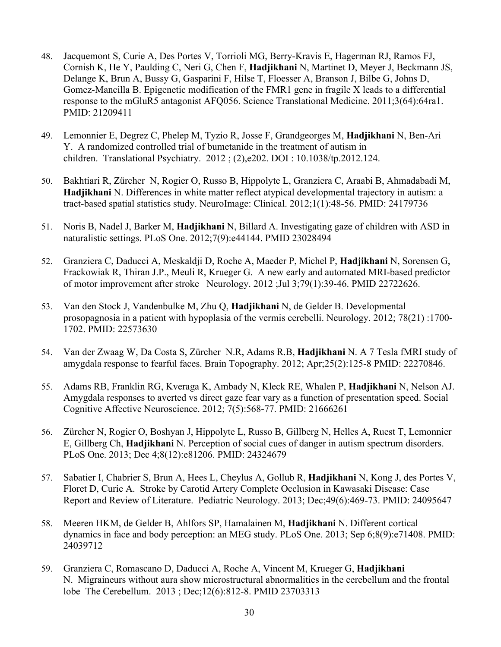- 48. Jacquemont S, Curie A, Des Portes V, Torrioli MG, Berry-Kravis E, Hagerman RJ, Ramos FJ, Cornish K, He Y, Paulding C, Neri G, Chen F, **Hadjikhani** N, Martinet D, Meyer J, Beckmann JS, Delange K, Brun A, Bussy G, Gasparini F, Hilse T, Floesser A, Branson J, Bilbe G, Johns D, Gomez-Mancilla B. Epigenetic modification of the FMR1 gene in fragile X leads to a differential response to the mGluR5 antagonist AFQ056. Science Translational Medicine. 2011;3(64):64ra1. PMID: 21209411
- 49. Lemonnier E, Degrez C, Phelep M, Tyzio R, Josse F, Grandgeorges M, **Hadjikhani** N, Ben-Ari Y. A randomized controlled trial of bumetanide in the treatment of autism in children. Translational Psychiatry. 2012 ; (2),e202. DOI : 10.1038/tp.2012.124.
- 50. Bakhtiari R, Zürcher N, Rogier O, Russo B, Hippolyte L, Granziera C, Araabi B, Ahmadabadi M, **Hadjikhani** N. Differences in white matter reflect atypical developmental trajectory in autism: a tract-based spatial statistics study. NeuroImage: Clinical. 2012;1(1):48-56. PMID: 24179736
- 51. Noris B, Nadel J, Barker M, **Hadjikhani** N, Billard A. Investigating gaze of children with ASD in naturalistic settings. PLoS One. 2012;7(9):e44144. PMID 23028494
- 52. Granziera C, Daducci A, Meskaldji D, Roche A, Maeder P, Michel P, **Hadjikhani** N, Sorensen G, Frackowiak R, Thiran J.P., Meuli R, Krueger G. A new early and automated MRI-based predictor of motor improvement after stroke Neurology. 2012 ;Jul 3;79(1):39-46. PMID 22722626.
- 53. Van den Stock J, Vandenbulke M, Zhu Q, **Hadjikhani** N, de Gelder B. Developmental prosopagnosia in a patient with hypoplasia of the vermis cerebelli. Neurology. 2012; 78(21) :1700- 1702. PMID: 22573630
- 54. Van der Zwaag W, Da Costa S, Zürcher N.R, Adams R.B, **Hadjikhani** N. A 7 Tesla fMRI study of amygdala response to fearful faces. Brain Topography. 2012; Apr;25(2):125-8 PMID: 22270846.
- 55. Adams RB, Franklin RG, Kveraga K, Ambady N, Kleck RE, Whalen P, **Hadjikhani** N, Nelson AJ. Amygdala responses to averted vs direct gaze fear vary as a function of presentation speed. Social Cognitive Affective Neuroscience. 2012; 7(5):568-77. PMID: 21666261
- 56. Zürcher N, Rogier O, Boshyan J, Hippolyte L, Russo B, Gillberg N, Helles A, Ruest T, Lemonnier E, Gillberg Ch, **Hadjikhani** N. Perception of social cues of danger in autism spectrum disorders. PLoS One. 2013; Dec 4;8(12):e81206. PMID: 24324679
- 57. Sabatier I, Chabrier S, Brun A, Hees L, Cheylus A, Gollub R, **Hadjikhani** N, Kong J, des Portes V, Floret D, Curie A. Stroke by Carotid Artery Complete Occlusion in Kawasaki Disease: Case Report and Review of Literature. Pediatric Neurology. 2013; Dec;49(6):469-73. PMID: 24095647
- 58. Meeren HKM, de Gelder B, Ahlfors SP, Hamalainen M, **Hadjikhani** N. Different cortical dynamics in face and body perception: an MEG study. PLoS One. 2013; Sep 6;8(9):e71408. PMID: 24039712
- 59. Granziera C, Romascano D, Daducci A, Roche A, Vincent M, Krueger G, **Hadjikhani** N. Migraineurs without aura show microstructural abnormalities in the cerebellum and the frontal lobe The Cerebellum. 2013 ; Dec;12(6):812-8. PMID 23703313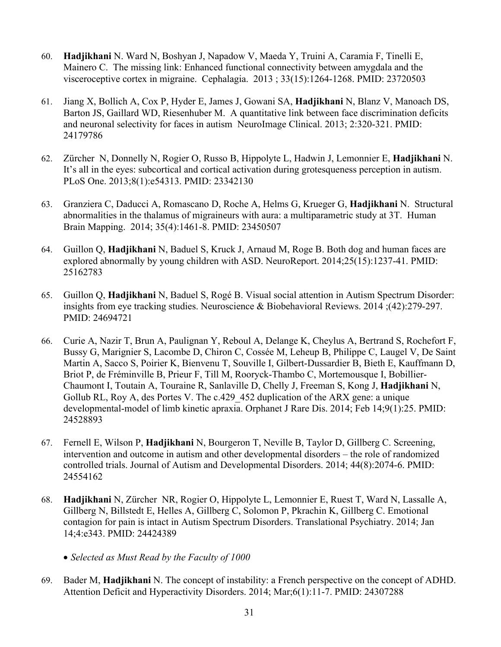- 60. **Hadjikhani** N. Ward N, Boshyan J, Napadow V, Maeda Y, Truini A, Caramia F, Tinelli E, Mainero C. The missing link: Enhanced functional connectivity between amygdala and the visceroceptive cortex in migraine. Cephalagia. 2013 ; 33(15):1264-1268. PMID: 23720503
- 61. Jiang X, Bollich A, Cox P, Hyder E, James J, Gowani SA, **Hadjikhani** N, Blanz V, Manoach DS, Barton JS, Gaillard WD, Riesenhuber M. A quantitative link between face discrimination deficits and neuronal selectivity for faces in autism NeuroImage Clinical. 2013; 2:320-321. PMID: 24179786
- 62. Zürcher N, Donnelly N, Rogier O, Russo B, Hippolyte L, Hadwin J, Lemonnier E, **Hadjikhani** N. It's all in the eyes: subcortical and cortical activation during grotesqueness perception in autism. PLoS One. 2013;8(1):e54313. PMID: 23342130
- 63. Granziera C, Daducci A, Romascano D, Roche A, Helms G, Krueger G, **Hadjikhani** N. Structural abnormalities in the thalamus of migraineurs with aura: a multiparametric study at 3T. Human Brain Mapping. 2014; 35(4):1461-8. PMID: 23450507
- 64. Guillon Q, **Hadjikhani** N, Baduel S, Kruck J, Arnaud M, Roge B. Both dog and human faces are explored abnormally by young children with ASD. NeuroReport. 2014;25(15):1237-41. PMID: 25162783
- 65. Guillon Q, **Hadjikhani** N, Baduel S, Rogé B. Visual social attention in Autism Spectrum Disorder: insights from eye tracking studies. Neuroscience & Biobehavioral Reviews. 2014 ;(42):279-297. PMID: 24694721
- 66. Curie A, Nazir T, Brun A, Paulignan Y, Reboul A, Delange K, Cheylus A, Bertrand S, Rochefort F, Bussy G, Marignier S, Lacombe D, Chiron C, Cossée M, Leheup B, Philippe C, Laugel V, De Saint Martin A, Sacco S, Poirier K, Bienvenu T, Souville I, Gilbert-Dussardier B, Bieth E, Kauffmann D, Briot P, de Fréminville B, Prieur F, Till M, Rooryck-Thambo C, Mortemousque I, Bobillier-Chaumont I, Toutain A, Touraine R, Sanlaville D, Chelly J, Freeman S, Kong J, **Hadjikhani** N, Gollub RL, Roy A, des Portes V. The c.429\_452 duplication of the ARX gene: a unique developmental-model of limb kinetic apraxia. Orphanet J Rare Dis. 2014; Feb 14;9(1):25. PMID: 24528893
- 67. Fernell E, Wilson P, **Hadjikhani** N, Bourgeron T, Neville B, Taylor D, Gillberg C. Screening, intervention and outcome in autism and other developmental disorders – the role of randomized controlled trials. Journal of Autism and Developmental Disorders. 2014; 44(8):2074-6. PMID: 24554162
- 68. **Hadjikhani** N, Zürcher NR, Rogier O, Hippolyte L, Lemonnier E, Ruest T, Ward N, Lassalle A, Gillberg N, Billstedt E, Helles A, Gillberg C, Solomon P, Pkrachin K, Gillberg C. Emotional contagion for pain is intact in Autism Spectrum Disorders. Translational Psychiatry. 2014; Jan 14;4:e343. PMID: 24424389
	- *Selected as Must Read by the Faculty of 1000*
- 69. Bader M, **Hadjikhani** N. The concept of instability: a French perspective on the concept of ADHD. Attention Deficit and Hyperactivity Disorders. 2014; Mar;6(1):11-7. PMID: 24307288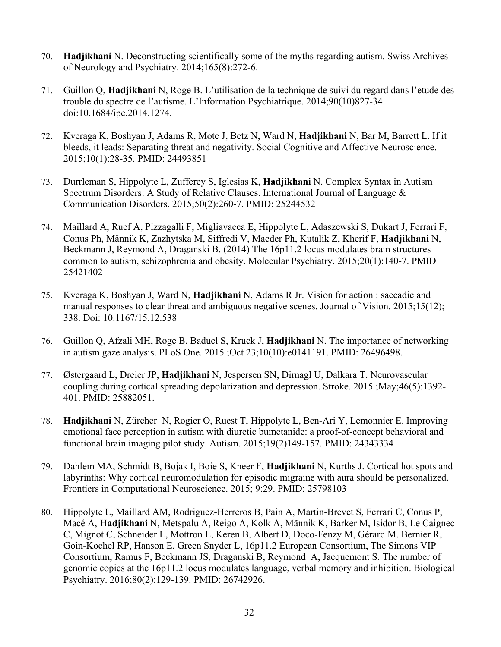- 70. **Hadjikhani** N. Deconstructing scientifically some of the myths regarding autism. Swiss Archives of Neurology and Psychiatry. 2014;165(8):272-6.
- 71. Guillon Q, **Hadjikhani** N, Roge B. L'utilisation de la technique de suivi du regard dans l'etude des trouble du spectre de l'autisme. L'Information Psychiatrique. 2014;90(10)827-34. doi:10.1684/ipe.2014.1274.
- 72. Kveraga K, Boshyan J, Adams R, Mote J, Betz N, Ward N, **Hadjikhani** N, Bar M, Barrett L. If it bleeds, it leads: Separating threat and negativity. Social Cognitive and Affective Neuroscience. 2015;10(1):28-35. PMID: 24493851
- 73. Durrleman S, Hippolyte L, Zufferey S, Iglesias K, **Hadjikhani** N. Complex Syntax in Autism Spectrum Disorders: A Study of Relative Clauses. International Journal of Language & Communication Disorders. 2015;50(2):260-7. PMID: 25244532
- 74. Maillard A, Ruef A, Pizzagalli F, Migliavacca E, Hippolyte L, Adaszewski S, Dukart J, Ferrari F, Conus Ph, Männik K, Zazhytska M, Siffredi V, Maeder Ph, Kutalik Z, Kherif F, **Hadjikhani** N, Beckmann J, Reymond A, Draganski B. (2014) The 16p11.2 locus modulates brain structures common to autism, schizophrenia and obesity. Molecular Psychiatry. 2015;20(1):140-7. PMID 25421402
- 75. Kveraga K, Boshyan J, Ward N, **Hadjikhani** N, Adams R Jr. Vision for action : saccadic and manual responses to clear threat and ambiguous negative scenes. Journal of Vision. 2015;15(12); 338. Doi: 10.1167/15.12.538
- 76. Guillon Q, Afzali MH, Roge B, Baduel S, Kruck J, **Hadjikhani** N. The importance of networking in autism gaze analysis. PLoS One. 2015 ;Oct 23;10(10):e0141191. PMID: 26496498.
- 77. Østergaard L, Dreier JP, **Hadjikhani** N, Jespersen SN, Dirnagl U, Dalkara T. Neurovascular coupling during cortical spreading depolarization and depression. Stroke. 2015 ;May;46(5):1392- 401. PMID: 25882051.
- 78. **Hadjikhani** N, Zürcher N, Rogier O, Ruest T, Hippolyte L, Ben-Ari Y, Lemonnier E. Improving emotional face perception in autism with diuretic bumetanide: a proof-of-concept behavioral and functional brain imaging pilot study. Autism. 2015;19(2)149-157. PMID: 24343334
- 79. Dahlem MA, Schmidt B, Bojak I, Boie S, Kneer F, **Hadjikhani** N, Kurths J. Cortical hot spots and labyrinths: Why cortical neuromodulation for episodic migraine with aura should be personalized. Frontiers in Computational Neuroscience. 2015; 9:29. PMID: 25798103
- 80. Hippolyte L, Maillard AM, Rodriguez-Herreros B, Pain A, Martin-Brevet S, Ferrari C, Conus P, Macé A, **Hadjikhani** N, Metspalu A, Reigo A, Kolk A, Männik K, Barker M, Isidor B, Le Caignec C, Mignot C, Schneider L, Mottron L, Keren B, Albert D, Doco-Fenzy M, Gérard M. Bernier R, Goin-Kochel RP, Hanson E, Green Snyder L, 16p11.2 European Consortium, The Simons VIP Consortium, Ramus F, Beckmann JS, Draganski B, Reymond A, Jacquemont S. The number of genomic copies at the 16p11.2 locus modulates language, verbal memory and inhibition. Biological Psychiatry. 2016;80(2):129-139. PMID: 26742926.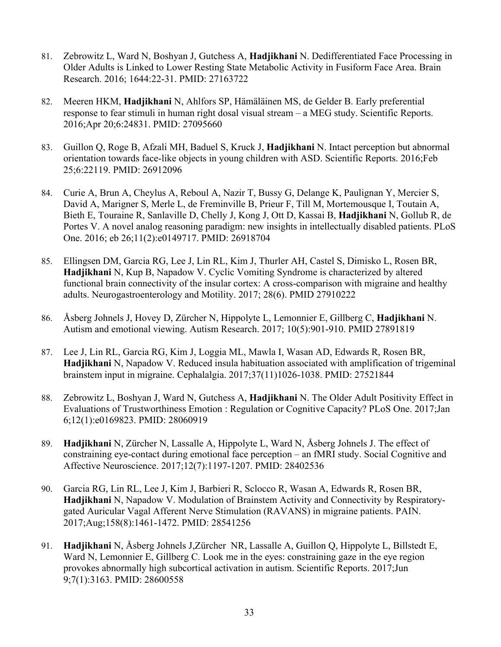- 81. Zebrowitz L, Ward N, Boshyan J, Gutchess A, **Hadjikhani** N. Dedifferentiated Face Processing in Older Adults is Linked to Lower Resting State Metabolic Activity in Fusiform Face Area. Brain Research. 2016; 1644:22-31. PMID: 27163722
- 82. Meeren HKM, **Hadjikhani** N, Ahlfors SP, Hämäläinen MS, de Gelder B. Early preferential response to fear stimuli in human right dosal visual stream – a MEG study. Scientific Reports. 2016;Apr 20;6:24831. PMID: 27095660
- 83. Guillon Q, Roge B, Afzali MH, Baduel S, Kruck J, **Hadjikhani** N. Intact perception but abnormal orientation towards face-like objects in young children with ASD. Scientific Reports. 2016;Feb 25;6:22119. PMID: 26912096
- 84. Curie A, Brun A, Cheylus A, Reboul A, Nazir T, Bussy G, Delange K, Paulignan Y, Mercier S, David A, Marigner S, Merle L, de Freminville B, Prieur F, Till M, Mortemousque I, Toutain A, Bieth E, Touraine R, Sanlaville D, Chelly J, Kong J, Ott D, Kassai B, **Hadjikhani** N, Gollub R, de Portes V. A novel analog reasoning paradigm: new insights in intellectually disabled patients. PLoS One. 2016; eb 26;11(2):e0149717. PMID: 26918704
- 85. Ellingsen DM, Garcia RG, Lee J, Lin RL, Kim J, Thurler AH, Castel S, Dimisko L, Rosen BR, **Hadjikhani** N, Kup B, Napadow V. Cyclic Vomiting Syndrome is characterized by altered functional brain connectivity of the insular cortex: A cross-comparison with migraine and healthy adults. Neurogastroenterology and Motility. 2017; 28(6). PMID 27910222
- 86. Åsberg Johnels J, Hovey D, Zürcher N, Hippolyte L, Lemonnier E, Gillberg C, **Hadjikhani** N. Autism and emotional viewing. Autism Research. 2017; 10(5):901-910. PMID 27891819
- 87. Lee J, Lin RL, Garcia RG, Kim J, Loggia ML, Mawla I, Wasan AD, Edwards R, Rosen BR, **Hadjikhani** N, Napadow V. Reduced insula habituation associated with amplification of trigeminal brainstem input in migraine. Cephalalgia. 2017;37(11)1026-1038. PMID: 27521844
- 88. Zebrowitz L, Boshyan J, Ward N, Gutchess A, **Hadjikhani** N. The Older Adult Positivity Effect in Evaluations of Trustworthiness Emotion : Regulation or Cognitive Capacity? PLoS One. 2017;Jan 6;12(1):e0169823. PMID: 28060919
- 89. **Hadjikhani** N, Zürcher N, Lassalle A, Hippolyte L, Ward N, Åsberg Johnels J. The effect of constraining eye-contact during emotional face perception – an fMRI study. Social Cognitive and Affective Neuroscience. 2017;12(7):1197-1207. PMID: 28402536
- 90. Garcia RG, Lin RL, Lee J, Kim J, Barbieri R, Sclocco R, Wasan A, Edwards R, Rosen BR, **Hadjikhani** N, Napadow V. Modulation of Brainstem Activity and Connectivity by Respiratorygated Auricular Vagal Afferent Nerve Stimulation (RAVANS) in migraine patients. PAIN. 2017;Aug;158(8):1461-1472. PMID: 28541256
- 91. **Hadjikhani** N, Åsberg Johnels J,Zürcher NR, Lassalle A, Guillon Q, Hippolyte L, Billstedt E, Ward N, Lemonnier E, Gillberg C. Look me in the eyes: constraining gaze in the eye region provokes abnormally high subcortical activation in autism. Scientific Reports. 2017;Jun 9;7(1):3163. PMID: 28600558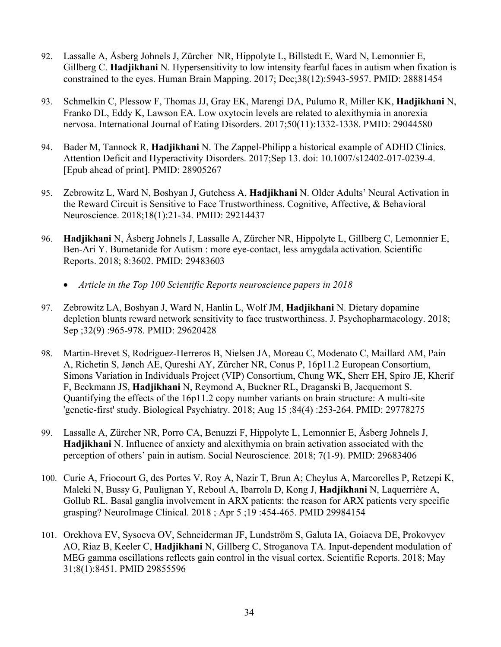- 92. Lassalle A, Åsberg Johnels J, Zürcher NR, Hippolyte L, Billstedt E, Ward N, Lemonnier E, Gillberg C. **Hadjikhani** N. Hypersensitivity to low intensity fearful faces in autism when fixation is constrained to the eyes. Human Brain Mapping. 2017; Dec;38(12):5943-5957. PMID: 28881454
- 93. Schmelkin C, Plessow F, Thomas JJ, Gray EK, Marengi DA, Pulumo R, Miller KK, **Hadjikhani** N, Franko DL, Eddy K, Lawson EA. Low oxytocin levels are related to alexithymia in anorexia nervosa. International Journal of Eating Disorders. 2017;50(11):1332-1338. PMID: 29044580
- 94. Bader M, Tannock R, **Hadjikhani** N. The Zappel-Philipp a historical example of ADHD Clinics. Attention Deficit and Hyperactivity Disorders. 2017;Sep 13. doi: 10.1007/s12402-017-0239-4. [Epub ahead of print]. PMID: 28905267
- 95. Zebrowitz L, Ward N, Boshyan J, Gutchess A, **Hadjikhani** N. Older Adults' Neural Activation in the Reward Circuit is Sensitive to Face Trustworthiness. Cognitive, Affective, & Behavioral Neuroscience. 2018;18(1):21-34. PMID: 29214437
- 96. **Hadjikhani** N, Åsberg Johnels J, Lassalle A, Zürcher NR, Hippolyte L, Gillberg C, Lemonnier E, Ben-Ari Y. Bumetanide for Autism : more eye-contact, less amygdala activation. Scientific Reports. 2018; 8:3602. PMID: 29483603
	- *Article in the Top 100 Scientific Reports neuroscience papers in 2018*
- 97. Zebrowitz LA, Boshyan J, Ward N, Hanlin L, Wolf JM, **Hadjikhani** N. Dietary dopamine depletion blunts reward network sensitivity to face trustworthiness. J. Psychopharmacology. 2018; Sep ;32(9) :965-978. PMID: 29620428
- 98. Martin-Brevet S, Rodriguez-Herreros B, Nielsen JA, Moreau C, Modenato C, Maillard AM, Pain A, Richetin S, Jønch AE, Qureshi AY, Zürcher NR, Conus P, 16p11.2 European Consortium, Simons Variation in Individuals Project (VIP) Consortium, Chung WK, Sherr EH, Spiro JE, Kherif F, Beckmann JS, **Hadjikhani** N, Reymond A, Buckner RL, Draganski B, Jacquemont S. Quantifying the effects of the 16p11.2 copy number variants on brain structure: A multi-site 'genetic-first' study. Biological Psychiatry. 2018; Aug 15 ;84(4) :253-264. PMID: 29778275
- 99. Lassalle A, Zürcher NR, Porro CA, Benuzzi F, Hippolyte L, Lemonnier E, Åsberg Johnels J, **Hadjikhani** N. Influence of anxiety and alexithymia on brain activation associated with the perception of others' pain in autism. Social Neuroscience. 2018; 7(1-9). PMID: 29683406
- 100. Curie A, Friocourt G, des Portes V, Roy A, Nazir T, Brun A; Cheylus A, Marcorelles P, Retzepi K, Maleki N, Bussy G, Paulignan Y, Reboul A, Ibarrola D, Kong J, **Hadjikhani** N, Laquerrière A, Gollub RL. Basal ganglia involvement in ARX patients: the reason for ARX patients very specific grasping? NeuroImage Clinical. 2018 ; Apr 5 ;19 :454-465. PMID 29984154
- 101. Orekhova EV, Sysoeva OV, Schneiderman JF, Lundström S, Galuta IA, Goiaeva DE, Prokovyev AO, Riaz B, Keeler C, **Hadjikhani** N, Gillberg C, Stroganova TA. Input-dependent modulation of MEG gamma oscillations reflects gain control in the visual cortex. Scientific Reports. 2018; May 31;8(1):8451. PMID 29855596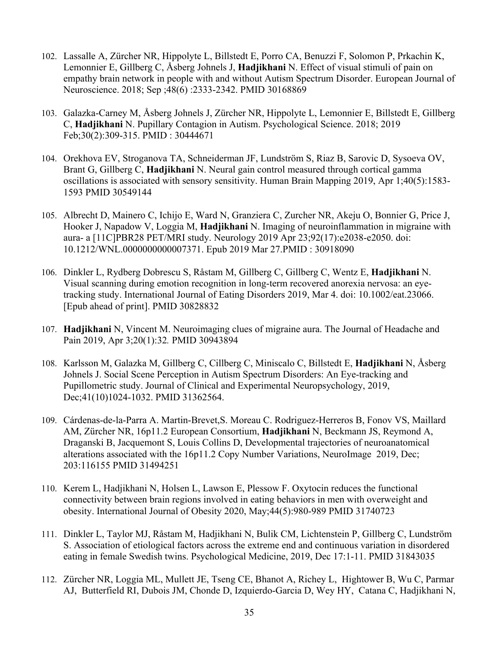- 102. Lassalle A, Zürcher NR, Hippolyte L, Billstedt E, Porro CA, Benuzzi F, Solomon P, Prkachin K, Lemonnier E, Gillberg C, Åsberg Johnels J, **Hadjikhani** N. Effect of visual stimuli of pain on empathy brain network in people with and without Autism Spectrum Disorder. European Journal of Neuroscience. 2018; Sep ;48(6) :2333-2342. PMID 30168869
- 103. Galazka-Carney M, Åsberg Johnels J, Zürcher NR, Hippolyte L, Lemonnier E, Billstedt E, Gillberg C, **Hadjikhani** N. Pupillary Contagion in Autism. Psychological Science. 2018; 2019 Feb;30(2):309-315. PMID : 30444671
- 104. Orekhova EV, Stroganova TA, Schneiderman JF, Lundström S, Riaz B, Sarovic D, Sysoeva OV, Brant G, Gillberg C, **Hadjikhani** N. Neural gain control measured through cortical gamma oscillations is associated with sensory sensitivity. Human Brain Mapping 2019, Apr 1;40(5):1583- 1593 PMID 30549144
- 105. Albrecht D, Mainero C, Ichijo E, Ward N, Granziera C, Zurcher NR, Akeju O, Bonnier G, Price J, Hooker J, Napadow V, Loggia M, **Hadjikhani** N. Imaging of neuroinflammation in migraine with aura- a [11C]PBR28 PET/MRI study. Neurology 2019 Apr 23;92(17):e2038-e2050. doi: 10.1212/WNL.0000000000007371. Epub 2019 Mar 27.PMID : 30918090
- 106. Dinkler L, Rydberg Dobrescu S, Råstam M, Gillberg C, Gillberg C, Wentz E, **Hadjikhani** N. Visual scanning during emotion recognition in long-term recovered anorexia nervosa: an eyetracking study. International Journal of Eating Disorders 2019, Mar 4. doi: 10.1002/eat.23066. [Epub ahead of print]. PMID 30828832
- 107. **Hadjikhani** N, Vincent M. Neuroimaging clues of migraine aura. The Journal of Headache and Pain 2019, Apr 3;20(1):32*.* PMID 30943894
- 108. Karlsson M, Galazka M, Gillberg C, Cillberg C, Miniscalo C, Billstedt E, **Hadjikhani** N, Åsberg Johnels J. Social Scene Perception in Autism Spectrum Disorders: An Eye-tracking and Pupillometric study. Journal of Clinical and Experimental Neuropsychology, 2019, Dec;41(10)1024-1032. PMID 31362564.
- 109. Cárdenas-de-la-Parra A. Martin-Brevet,S. Moreau C. Rodriguez-Herreros B, Fonov VS, Maillard AM, Zürcher NR, 16p11.2 European Consortium, **Hadjikhani** N, Beckmann JS, Reymond A, Draganski B, Jacquemont S, Louis Collins D, Developmental trajectories of neuroanatomical alterations associated with the 16p11.2 Copy Number Variations, NeuroImage 2019, Dec; 203:116155 PMID 31494251
- 110. Kerem L, Hadjikhani N, Holsen L, Lawson E, Plessow F. Oxytocin reduces the functional connectivity between brain regions involved in eating behaviors in men with overweight and obesity. International Journal of Obesity 2020, May;44(5):980-989 PMID 31740723
- 111. Dinkler L, Taylor MJ, Råstam M, Hadjikhani N, Bulik CM, Lichtenstein P, Gillberg C, Lundström S. Association of etiological factors across the extreme end and continuous variation in disordered eating in female Swedish twins. Psychological Medicine, 2019, Dec 17:1-11. PMID 31843035
- 112. Zürcher NR, Loggia ML, Mullett JE, Tseng CE, Bhanot A, Richey L, Hightower B, Wu C, Parmar AJ, Butterfield RI, Dubois JM, Chonde D, Izquierdo-Garcia D, Wey HY, Catana C, Hadjikhani N,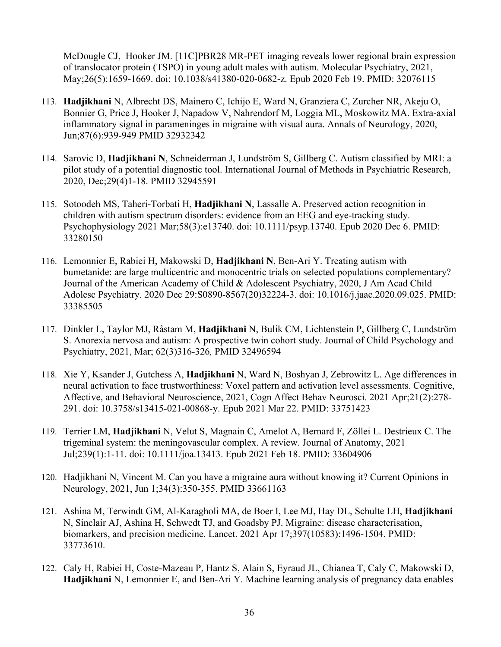McDougle CJ, Hooker JM. [11C]PBR28 MR-PET imaging reveals lower regional brain expression of translocator protein (TSPO) in young adult males with autism. Molecular Psychiatry, 2021, May;26(5):1659-1669. doi: 10.1038/s41380-020-0682-z. Epub 2020 Feb 19. PMID: 32076115

- 113. **Hadjikhani** N, Albrecht DS, Mainero C, Ichijo E, Ward N, Granziera C, Zurcher NR, Akeju O, Bonnier G, Price J, Hooker J, Napadow V, Nahrendorf M, Loggia ML, Moskowitz MA. Extra-axial inflammatory signal in parameninges in migraine with visual aura. Annals of Neurology, 2020, Jun;87(6):939-949 PMID 32932342
- 114. Sarovic D, **Hadjikhani N**, Schneiderman J, Lundström S, Gillberg C. Autism classified by MRI: a pilot study of a potential diagnostic tool. International Journal of Methods in Psychiatric Research, 2020, Dec;29(4)1-18. PMID 32945591
- 115. Sotoodeh MS, Taheri-Torbati H, **Hadjikhani N**, Lassalle A. Preserved action recognition in children with autism spectrum disorders: evidence from an EEG and eye-tracking study. Psychophysiology 2021 Mar;58(3):e13740. doi: 10.1111/psyp.13740. Epub 2020 Dec 6. PMID: 33280150
- 116. Lemonnier E, Rabiei H, Makowski D, **Hadjikhani N**, Ben-Ari Y. Treating autism with bumetanide: are large multicentric and monocentric trials on selected populations complementary? Journal of the American Academy of Child & Adolescent Psychiatry, 2020, J Am Acad Child Adolesc Psychiatry. 2020 Dec 29:S0890-8567(20)32224-3. doi: 10.1016/j.jaac.2020.09.025. PMID: 33385505
- 117. Dinkler L, Taylor MJ, Råstam M, **Hadjikhani** N, Bulik CM, Lichtenstein P, Gillberg C, Lundström S. Anorexia nervosa and autism: A prospective twin cohort study. Journal of Child Psychology and Psychiatry, 2021, Mar; 62(3)316-326*,* PMID 32496594
- 118. Xie Y, Ksander J, Gutchess A, **Hadjikhani** N, Ward N, Boshyan J, Zebrowitz L. Age differences in neural activation to face trustworthiness: Voxel pattern and activation level assessments. Cognitive, Affective, and Behavioral Neuroscience, 2021, Cogn Affect Behav Neurosci. 2021 Apr;21(2):278- 291. doi: 10.3758/s13415-021-00868-y. Epub 2021 Mar 22. PMID: 33751423
- 119. Terrier LM, **Hadjikhani** N, Velut S, Magnain C, Amelot A, Bernard F, Zöllei L. Destrieux C. The trigeminal system: the meningovascular complex. A review. Journal of Anatomy, 2021 Jul;239(1):1-11. doi: 10.1111/joa.13413. Epub 2021 Feb 18. PMID: 33604906
- 120. Hadjikhani N, Vincent M. Can you have a migraine aura without knowing it? Current Opinions in Neurology, 2021, Jun 1;34(3):350-355. PMID 33661163
- 121. Ashina M, Terwindt GM, Al-Karagholi MA, de Boer I, Lee MJ, Hay DL, Schulte LH, **Hadjikhani** N, Sinclair AJ, Ashina H, Schwedt TJ, and Goadsby PJ. Migraine: disease characterisation, biomarkers, and precision medicine. Lancet. 2021 Apr 17;397(10583):1496-1504. PMID: 33773610.
- 122. Caly H, Rabiei H, Coste-Mazeau P, Hantz S, Alain S, Eyraud JL, Chianea T, Caly C, Makowski D, **Hadjikhani** N, Lemonnier E, and Ben-Ari Y. Machine learning analysis of pregnancy data enables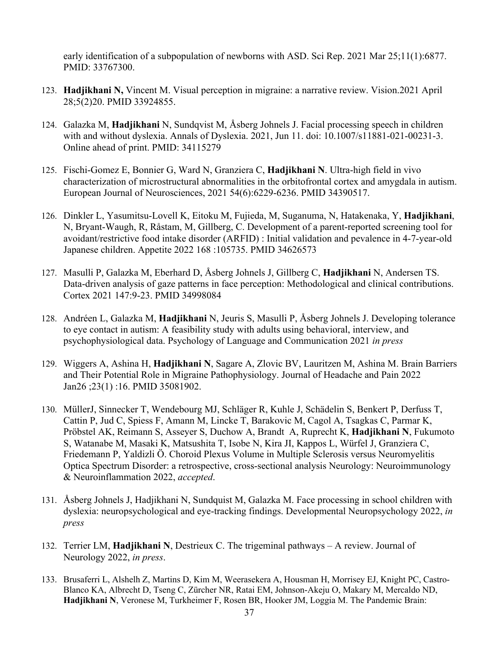early identification of a subpopulation of newborns with ASD. Sci Rep. 2021 Mar 25;11(1):6877. PMID: 33767300.

- 123. **Hadjikhani N,** Vincent M. Visual perception in migraine: a narrative review. Vision.2021 April 28;5(2)20. PMID 33924855.
- 124. Galazka M, **Hadjikhani** N, Sundqvist M, Åsberg Johnels J. Facial processing speech in children with and without dyslexia. Annals of Dyslexia. 2021, Jun 11. doi: 10.1007/s11881-021-00231-3. Online ahead of print. PMID: 34115279
- 125. Fischi-Gomez E, Bonnier G, Ward N, Granziera C, **Hadjikhani N**. Ultra-high field in vivo characterization of microstructural abnormalities in the orbitofrontal cortex and amygdala in autism. European Journal of Neurosciences, 2021 54(6):6229-6236. PMID 34390517.
- 126. Dinkler L, Yasumitsu-Lovell K, Eitoku M, Fujieda, M, Suganuma, N, Hatakenaka, Y, **Hadjikhani**, N, Bryant-Waugh, R, Råstam, M, Gillberg, C. Development of a parent-reported screening tool for avoidant/restrictive food intake disorder (ARFID) : Initial validation and pevalence in 4-7-year-old Japanese children. Appetite 2022 168 :105735. PMID 34626573
- 127. Masulli P, Galazka M, Eberhard D, Åsberg Johnels J, Gillberg C, **Hadjikhani** N, Andersen TS. Data-driven analysis of gaze patterns in face perception: Methodological and clinical contributions. Cortex 2021 147:9-23. PMID 34998084
- 128. Andréen L, Galazka M, **Hadjikhani** N, Jeuris S, Masulli P, Åsberg Johnels J. Developing tolerance to eye contact in autism: A feasibility study with adults using behavioral, interview, and psychophysiological data. Psychology of Language and Communication 2021 *in press*
- 129. Wiggers A, Ashina H, **Hadjikhani N**, Sagare A, Zlovic BV, Lauritzen M, Ashina M. Brain Barriers and Their Potential Role in Migraine Pathophysiology. Journal of Headache and Pain 2022 Jan26 ;23(1) :16. PMID 35081902.
- 130. MüllerJ, Sinnecker T, Wendebourg MJ, Schläger R, Kuhle J, Schädelin S, Benkert P, Derfuss T, Cattin P, Jud C, Spiess F, Amann M, Lincke T, Barakovic M, Cagol A, Tsagkas C, Parmar K, Pröbstel AK, Reimann S, Asseyer S, Duchow A, Brandt A, Ruprecht K, **Hadjikhani N**, Fukumoto S, Watanabe M, Masaki K, Matsushita T, Isobe N, Kira JI, Kappos L, Würfel J, Granziera C, Friedemann P, Yaldizli Ö. Choroid Plexus Volume in Multiple Sclerosis versus Neuromyelitis Optica Spectrum Disorder: a retrospective, cross-sectional analysis Neurology: Neuroimmunology & Neuroinflammation 2022, *accepted*.
- 131. Åsberg Johnels J, Hadjikhani N, Sundquist M, Galazka M. Face processing in school children with dyslexia: neuropsychological and eye-tracking findings. Developmental Neuropsychology 2022, *in press*
- 132. Terrier LM, **Hadjikhani N**, Destrieux C. The trigeminal pathways A review. Journal of Neurology 2022, *in press*.
- 133. Brusaferri L, Alshelh Z, Martins D, Kim M, Weerasekera A, Housman H, Morrisey EJ, Knight PC, Castro-Blanco KA, Albrecht D, Tseng C, Zürcher NR, Ratai EM, Johnson-Akeju O, Makary M, Mercaldo ND, **Hadjikhani N**, Veronese M, Turkheimer F, Rosen BR, Hooker JM, Loggia M. The Pandemic Brain: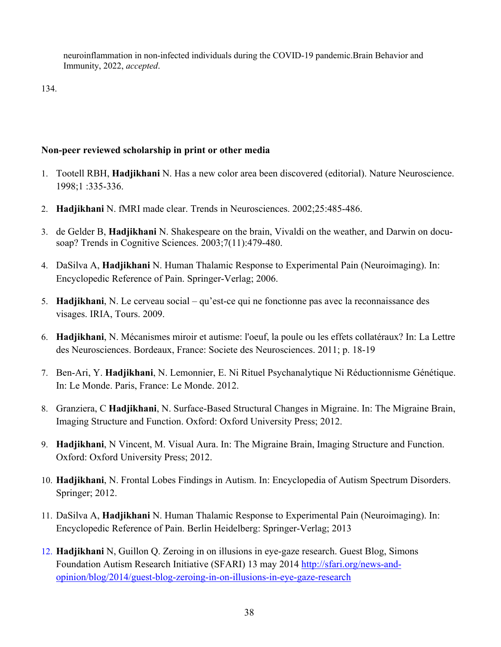neuroinflammation in non-infected individuals during the COVID-19 pandemic.Brain Behavior and Immunity, 2022, *accepted*.

134.

### **Non-peer reviewed scholarship in print or other media**

- 1. Tootell RBH, **Hadjikhani** N. Has a new color area been discovered (editorial). Nature Neuroscience. 1998;1 :335-336.
- 2. **Hadjikhani** N. fMRI made clear. Trends in Neurosciences. 2002;25:485-486.
- 3. de Gelder B, **Hadjikhani** N. Shakespeare on the brain, Vivaldi on the weather, and Darwin on docusoap? Trends in Cognitive Sciences. 2003;7(11):479-480.
- 4. DaSilva A, **Hadjikhani** N. Human Thalamic Response to Experimental Pain (Neuroimaging). In: Encyclopedic Reference of Pain. Springer-Verlag; 2006.
- 5. **Hadjikhani**, N. Le cerveau social qu'est-ce qui ne fonctionne pas avec la reconnaissance des visages. IRIA, Tours. 2009.
- 6. **Hadjikhani**, N. Mécanismes miroir et autisme: l'oeuf, la poule ou les effets collatéraux? In: La Lettre des Neurosciences. Bordeaux, France: Societe des Neurosciences. 2011; p. 18-19
- 7. Ben-Ari, Y. **Hadjikhani**, N. Lemonnier, E. Ni Rituel Psychanalytique Ni Réductionnisme Génétique. In: Le Monde. Paris, France: Le Monde. 2012.
- 8. Granziera, C **Hadjikhani**, N. Surface-Based Structural Changes in Migraine. In: The Migraine Brain, Imaging Structure and Function. Oxford: Oxford University Press; 2012.
- 9. **Hadjikhani**, N Vincent, M. Visual Aura. In: The Migraine Brain, Imaging Structure and Function. Oxford: Oxford University Press; 2012.
- 10. **Hadjikhani**, N. Frontal Lobes Findings in Autism. In: Encyclopedia of Autism Spectrum Disorders. Springer; 2012.
- 11. DaSilva A, **Hadjikhani** N. Human Thalamic Response to Experimental Pain (Neuroimaging). In: Encyclopedic Reference of Pain. Berlin Heidelberg: Springer-Verlag; 2013
- 12. **Hadjikhani** N, Guillon Q. Zeroing in on illusions in eye-gaze research. Guest Blog, Simons Foundation Autism Research Initiative (SFARI) 13 may 2014 http://sfari.org/news-andopinion/blog/2014/guest-blog-zeroing-in-on-illusions-in-eye-gaze-research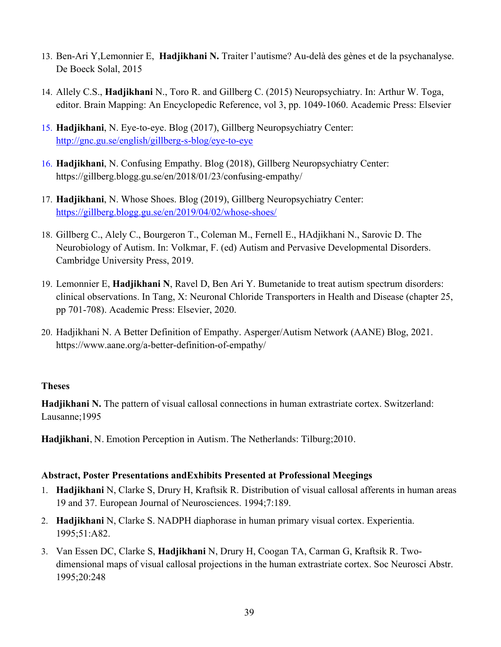- 13. Ben-Ari Y,Lemonnier E, **Hadjikhani N.** Traiter l'autisme? Au-delà des gènes et de la psychanalyse. De Boeck Solal, 2015
- 14. Allely C.S., **Hadjikhani** N., Toro R. and Gillberg C. (2015) Neuropsychiatry. In: Arthur W. Toga, editor. Brain Mapping: An Encyclopedic Reference, vol 3, pp. 1049-1060. Academic Press: Elsevier
- 15. **Hadjikhani**, N. Eye-to-eye. Blog (2017), Gillberg Neuropsychiatry Center: http://gnc.gu.se/english/gillberg-s-blog/eye-to-eye
- 16. **Hadjikhani**, N. Confusing Empathy. Blog (2018), Gillberg Neuropsychiatry Center: https://gillberg.blogg.gu.se/en/2018/01/23/confusing-empathy/
- 17. **Hadjikhani**, N. Whose Shoes. Blog (2019), Gillberg Neuropsychiatry Center: https://gillberg.blogg.gu.se/en/2019/04/02/whose-shoes/
- 18. Gillberg C., Alely C., Bourgeron T., Coleman M., Fernell E., HAdjikhani N., Sarovic D. The Neurobiology of Autism. In: Volkmar, F. (ed) Autism and Pervasive Developmental Disorders. Cambridge University Press, 2019.
- 19. Lemonnier E, **Hadjikhani N**, Ravel D, Ben Ari Y. Bumetanide to treat autism spectrum disorders: clinical observations. In Tang, X: Neuronal Chloride Transporters in Health and Disease (chapter 25, pp 701-708). Academic Press: Elsevier, 2020.
- 20. Hadjikhani N. A Better Definition of Empathy. Asperger/Autism Network (AANE) Blog, 2021. https://www.aane.org/a-better-definition-of-empathy/

### **Theses**

**Hadjikhani N.** The pattern of visual callosal connections in human extrastriate cortex. Switzerland: Lausanne;1995

**Hadjikhani**, N. Emotion Perception in Autism. The Netherlands: Tilburg;2010.

### **Abstract, Poster Presentations andExhibits Presented at Professional Meegings**

- 1. **Hadjikhani** N, Clarke S, Drury H, Kraftsik R. Distribution of visual callosal afferents in human areas 19 and 37. European Journal of Neurosciences. 1994;7:189.
- 2. **Hadjikhani** N, Clarke S. NADPH diaphorase in human primary visual cortex. Experientia. 1995;51:A82.
- 3. Van Essen DC, Clarke S, **Hadjikhani** N, Drury H, Coogan TA, Carman G, Kraftsik R. Twodimensional maps of visual callosal projections in the human extrastriate cortex. Soc Neurosci Abstr. 1995;20:248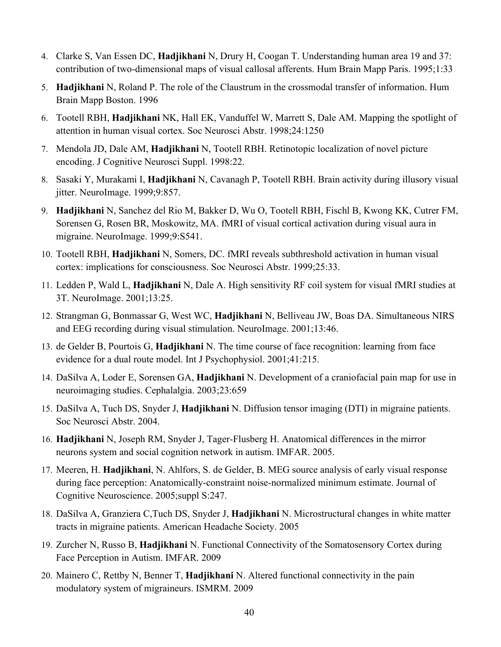- 4. Clarke S, Van Essen DC, **Hadjikhani** N, Drury H, Coogan T. Understanding human area 19 and 37: contribution of two-dimensional maps of visual callosal afferents. Hum Brain Mapp Paris. 1995;1:33
- 5. **Hadjikhani** N, Roland P. The role of the Claustrum in the crossmodal transfer of information. Hum Brain Mapp Boston. 1996
- 6. Tootell RBH, **Hadjikhani** NK, Hall EK, Vanduffel W, Marrett S, Dale AM. Mapping the spotlight of attention in human visual cortex. Soc Neurosci Abstr. 1998;24:1250
- 7. Mendola JD, Dale AM, **Hadjikhani** N, Tootell RBH. Retinotopic localization of novel picture encoding. J Cognitive Neurosci Suppl. 1998:22.
- 8. Sasaki Y, Murakami I, **Hadjikhani** N, Cavanagh P, Tootell RBH. Brain activity during illusory visual jitter. NeuroImage. 1999;9:857.
- 9. **Hadjikhani** N, Sanchez del Rio M, Bakker D, Wu O, Tootell RBH, Fischl B, Kwong KK, Cutrer FM, Sorensen G, Rosen BR, Moskowitz, MA. fMRI of visual cortical activation during visual aura in migraine. NeuroImage. 1999;9:S541.
- 10. Tootell RBH, **Hadjikhani** N, Somers, DC. fMRI reveals subthreshold activation in human visual cortex: implications for consciousness. Soc Neurosci Abstr. 1999;25:33.
- 11. Ledden P, Wald L, **Hadjikhani** N, Dale A. High sensitivity RF coil system for visual fMRI studies at 3T. NeuroImage. 2001;13:25.
- 12. Strangman G, Bonmassar G, West WC, **Hadjikhani** N, Belliveau JW, Boas DA. Simultaneous NIRS and EEG recording during visual stimulation. NeuroImage. 2001;13:46.
- 13. de Gelder B, Pourtois G, **Hadjikhani** N. The time course of face recognition: learning from face evidence for a dual route model. Int J Psychophysiol. 2001;41:215.
- 14. DaSilva A, Loder E, Sorensen GA, **Hadjikhani** N. Development of a craniofacial pain map for use in neuroimaging studies. Cephalalgia. 2003;23:659
- 15. DaSilva A, Tuch DS, Snyder J, **Hadjikhani** N. Diffusion tensor imaging (DTI) in migraine patients. Soc Neurosci Abstr. 2004.
- 16. **Hadjikhani** N, Joseph RM, Snyder J, Tager-Flusberg H. Anatomical differences in the mirror neurons system and social cognition network in autism. IMFAR. 2005.
- 17. Meeren, H. **Hadjikhani**, N. Ahlfors, S. de Gelder, B. MEG source analysis of early visual response during face perception: Anatomically-constraint noise-normalized minimum estimate. Journal of Cognitive Neuroscience. 2005;suppl S:247.
- 18. DaSilva A, Granziera C,Tuch DS, Snyder J, **Hadjikhani** N. Microstructural changes in white matter tracts in migraine patients. American Headache Society. 2005
- 19. Zurcher N, Russo B, **Hadjikhani** N. Functional Connectivity of the Somatosensory Cortex during Face Perception in Autism. IMFAR. 2009
- 20. Mainero C, Rettby N, Benner T, **Hadjikhani** N. Altered functional connectivity in the pain modulatory system of migraineurs. ISMRM. 2009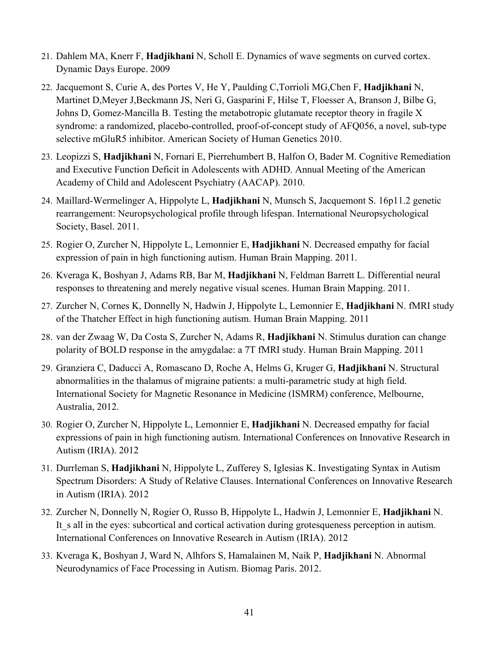- 21. Dahlem MA, Knerr F, **Hadjikhani** N, Scholl E. Dynamics of wave segments on curved cortex. Dynamic Days Europe. 2009
- 22. Jacquemont S, Curie A, des Portes V, He Y, Paulding C,Torrioli MG,Chen F, **Hadjikhani** N, Martinet D,Meyer J,Beckmann JS, Neri G, Gasparini F, Hilse T, Floesser A, Branson J, Bilbe G, Johns D, Gomez-Mancilla B. Testing the metabotropic glutamate receptor theory in fragile X syndrome: a randomized, placebo-controlled, proof-of-concept study of AFQ056, a novel, sub-type selective mGluR5 inhibitor. American Society of Human Genetics 2010.
- 23. Leopizzi S, **Hadjikhani** N, Fornari E, Pierrehumbert B, Halfon O, Bader M. Cognitive Remediation and Executive Function Deficit in Adolescents with ADHD. Annual Meeting of the American Academy of Child and Adolescent Psychiatry (AACAP). 2010.
- 24. Maillard-Wermelinger A, Hippolyte L, **Hadjikhani** N, Munsch S, Jacquemont S. 16p11.2 genetic rearrangement: Neuropsychological profile through lifespan. International Neuropsychological Society, Basel. 2011.
- 25. Rogier O, Zurcher N, Hippolyte L, Lemonnier E, **Hadjikhani** N. Decreased empathy for facial expression of pain in high functioning autism. Human Brain Mapping. 2011.
- 26. Kveraga K, Boshyan J, Adams RB, Bar M, **Hadjikhani** N, Feldman Barrett L. Differential neural responses to threatening and merely negative visual scenes. Human Brain Mapping. 2011.
- 27. Zurcher N, Cornes K, Donnelly N, Hadwin J, Hippolyte L, Lemonnier E, **Hadjikhani** N. fMRI study of the Thatcher Effect in high functioning autism. Human Brain Mapping. 2011
- 28. van der Zwaag W, Da Costa S, Zurcher N, Adams R, **Hadjikhani** N. Stimulus duration can change polarity of BOLD response in the amygdalae: a 7T fMRI study. Human Brain Mapping. 2011
- 29. Granziera C, Daducci A, Romascano D, Roche A, Helms G, Kruger G, **Hadjikhani** N. Structural abnormalities in the thalamus of migraine patients: a multi-parametric study at high field. International Society for Magnetic Resonance in Medicine (ISMRM) conference, Melbourne, Australia, 2012.
- 30. Rogier O, Zurcher N, Hippolyte L, Lemonnier E, **Hadjikhani** N. Decreased empathy for facial expressions of pain in high functioning autism. International Conferences on Innovative Research in Autism (IRIA). 2012
- 31. Durrleman S, **Hadjikhani** N, Hippolyte L, Zufferey S, Iglesias K. Investigating Syntax in Autism Spectrum Disorders: A Study of Relative Clauses. International Conferences on Innovative Research in Autism (IRIA). 2012
- 32. Zurcher N, Donnelly N, Rogier O, Russo B, Hippolyte L, Hadwin J, Lemonnier E, **Hadjikhani** N. It s all in the eyes: subcortical and cortical activation during grotesqueness perception in autism. International Conferences on Innovative Research in Autism (IRIA). 2012
- 33. Kveraga K, Boshyan J, Ward N, Alhfors S, Hamalainen M, Naik P, **Hadjikhani** N. Abnormal Neurodynamics of Face Processing in Autism. Biomag Paris. 2012.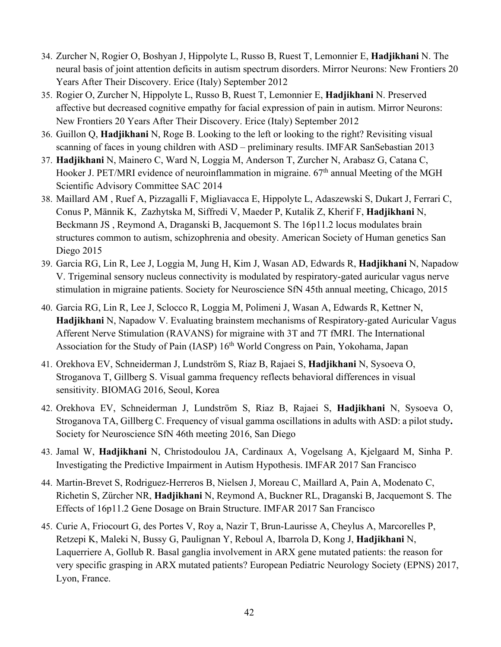- 34. Zurcher N, Rogier O, Boshyan J, Hippolyte L, Russo B, Ruest T, Lemonnier E, **Hadjikhani** N. The neural basis of joint attention deficits in autism spectrum disorders. Mirror Neurons: New Frontiers 20 Years After Their Discovery. Erice (Italy) September 2012
- 35. Rogier O, Zurcher N, Hippolyte L, Russo B, Ruest T, Lemonnier E, **Hadjikhani** N. Preserved affective but decreased cognitive empathy for facial expression of pain in autism. Mirror Neurons: New Frontiers 20 Years After Their Discovery. Erice (Italy) September 2012
- 36. Guillon Q, **Hadjikhani** N, Roge B. Looking to the left or looking to the right? Revisiting visual scanning of faces in young children with ASD – preliminary results. IMFAR SanSebastian 2013
- 37. **Hadjikhani** N, Mainero C, Ward N, Loggia M, Anderson T, Zurcher N, Arabasz G, Catana C, Hooker J. PET/MRI evidence of neuroinflammation in migraine.  $67<sup>th</sup>$  annual Meeting of the MGH Scientific Advisory Committee SAC 2014
- 38. Maillard AM , Ruef A, Pizzagalli F, Migliavacca E, Hippolyte L, Adaszewski S, Dukart J, Ferrari C, Conus P, Männik K, Zazhytska M, Siffredi V, Maeder P, Kutalik Z, Kherif F, **Hadjikhani** N, Beckmann JS , Reymond A, Draganski B, Jacquemont S. The 16p11.2 locus modulates brain structures common to autism, schizophrenia and obesity. American Society of Human genetics San Diego 2015
- 39. Garcia RG, Lin R, Lee J, Loggia M, Jung H, Kim J, Wasan AD, Edwards R, **Hadjikhani** N, Napadow V. Trigeminal sensory nucleus connectivity is modulated by respiratory-gated auricular vagus nerve stimulation in migraine patients. Society for Neuroscience SfN 45th annual meeting, Chicago, 2015
- 40. Garcia RG, Lin R, Lee J, Sclocco R, Loggia M, Polimeni J, Wasan A, Edwards R, Kettner N, **Hadjikhani** N, Napadow V. Evaluating brainstem mechanisms of Respiratory-gated Auricular Vagus Afferent Nerve Stimulation (RAVANS) for migraine with 3T and 7T fMRI. The International Association for the Study of Pain (IASP) 16<sup>th</sup> World Congress on Pain, Yokohama, Japan
- 41. Orekhova EV, Schneiderman J, Lundström S, Riaz B, Rajaei S, **Hadjikhani** N, Sysoeva O, Stroganova T, Gillberg S. Visual gamma frequency reflects behavioral differences in visual sensitivity. BIOMAG 2016, Seoul, Korea
- 42. Orekhova EV, Schneiderman J, Lundström S, Riaz B, Rajaei S, **Hadjikhani** N, Sysoeva O, Stroganova TA, Gillberg C. Frequency of visual gamma oscillations in adults with ASD: a pilot study**.**  Society for Neuroscience SfN 46th meeting 2016, San Diego
- 43. Jamal W, **Hadjikhani** N, Christodoulou JA, Cardinaux A, Vogelsang A, Kjelgaard M, Sinha P. Investigating the Predictive Impairment in Autism Hypothesis. IMFAR 2017 San Francisco
- 44. Martin-Brevet S, Rodriguez-Herreros B, Nielsen J, Moreau C, Maillard A, Pain A, Modenato C, Richetin S, Zürcher NR, **Hadjikhani** N, Reymond A, Buckner RL, Draganski B, Jacquemont S. The Effects of 16p11.2 Gene Dosage on Brain Structure. IMFAR 2017 San Francisco
- 45. Curie A, Friocourt G, des Portes V, Roy a, Nazir T, Brun-Laurisse A, Cheylus A, Marcorelles P, Retzepi K, Maleki N, Bussy G, Paulignan Y, Reboul A, Ibarrola D, Kong J, **Hadjikhani** N, Laquerriere A, Gollub R. Basal ganglia involvement in ARX gene mutated patients: the reason for very specific grasping in ARX mutated patients? European Pediatric Neurology Society (EPNS) 2017, Lyon, France.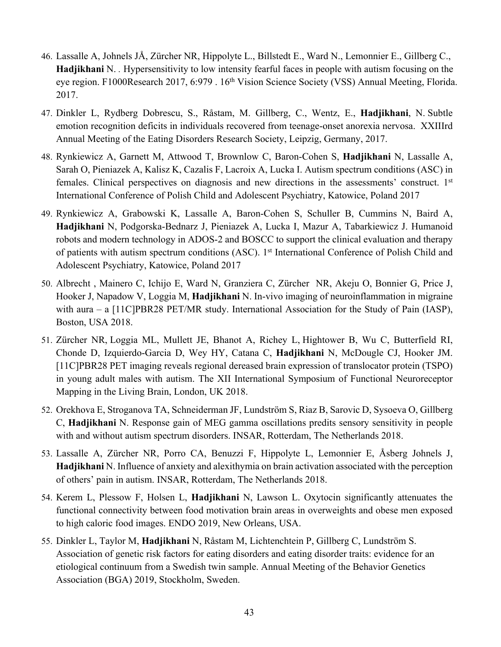- 46. Lassalle A, Johnels JÅ, Zürcher NR, Hippolyte L., Billstedt E., Ward N., Lemonnier E., Gillberg C., **Hadjikhani** N. *.* Hypersensitivity to low intensity fearful faces in people with autism focusing on the eye region. F1000Research 2017, 6:979 . 16<sup>th</sup> Vision Science Society (VSS) Annual Meeting, Florida. 2017.
- 47. Dinkler L, Rydberg Dobrescu, S., Råstam, M. Gillberg, C., Wentz, E., **Hadjikhani**, N. Subtle emotion recognition deficits in individuals recovered from teenage-onset anorexia nervosa. XXIIIrd Annual Meeting of the Eating Disorders Research Society, Leipzig, Germany, 2017.
- 48. Rynkiewicz A, Garnett M, Attwood T, Brownlow C, Baron-Cohen S, **Hadjikhani** N, Lassalle A, Sarah O, Pieniazek A, Kalisz K, Cazalis F, Lacroix A, Lucka I. Autism spectrum conditions (ASC) in females. Clinical perspectives on diagnosis and new directions in the assessments' construct. 1<sup>st</sup> International Conference of Polish Child and Adolescent Psychiatry, Katowice, Poland 2017
- 49. Rynkiewicz A, Grabowski K, Lassalle A, Baron-Cohen S, Schuller B, Cummins N, Baird A, **Hadjikhani** N, Podgorska-Bednarz J, Pieniazek A, Lucka I, Mazur A, Tabarkiewicz J. Humanoid robots and modern technology in ADOS-2 and BOSCC to support the clinical evaluation and therapy of patients with autism spectrum conditions (ASC). 1<sup>st</sup> International Conference of Polish Child and Adolescent Psychiatry, Katowice, Poland 2017
- 50. Albrecht , Mainero C, Ichijo E, Ward N, Granziera C, Zürcher NR, Akeju O, Bonnier G, Price J, Hooker J, Napadow V, Loggia M, **Hadjikhani** N. In-vivo imaging of neuroinflammation in migraine with aura – a [11C]PBR28 PET/MR study. International Association for the Study of Pain (IASP), Boston, USA 2018.
- 51. Zürcher NR, Loggia ML, Mullett JE, Bhanot A, Richey L, Hightower B, Wu C, Butterfield RI, Chonde D, Izquierdo-Garcia D, Wey HY, Catana C, **Hadjikhani** N, McDougle CJ, Hooker JM. [11C]PBR28 PET imaging reveals regional dereased brain expression of translocator protein (TSPO) in young adult males with autism. The XII International Symposium of Functional Neuroreceptor Mapping in the Living Brain, London, UK 2018.
- 52. Orekhova E, Stroganova TA, Schneiderman JF, Lundström S, Riaz B, Sarovic D, Sysoeva O, Gillberg C, **Hadjikhani** N. Response gain of MEG gamma oscillations predits sensory sensitivity in people with and without autism spectrum disorders. INSAR, Rotterdam, The Netherlands 2018.
- 53. Lassalle A, Zürcher NR, Porro CA, Benuzzi F, Hippolyte L, Lemonnier E, Åsberg Johnels J, **Hadjikhani** N. Influence of anxiety and alexithymia on brain activation associated with the perception of others' pain in autism. INSAR, Rotterdam, The Netherlands 2018.
- 54. Kerem L, Plessow F, Holsen L, **Hadjikhani** N, Lawson L. Oxytocin significantly attenuates the functional connectivity between food motivation brain areas in overweights and obese men exposed to high caloric food images. ENDO 2019, New Orleans, USA.
- 55. Dinkler L, Taylor M, **Hadjikhani** N, Råstam M, Lichtenchtein P, Gillberg C, Lundström S. Association of genetic risk factors for eating disorders and eating disorder traits: evidence for an etiological continuum from a Swedish twin sample. Annual Meeting of the Behavior Genetics Association (BGA) 2019, Stockholm, Sweden.